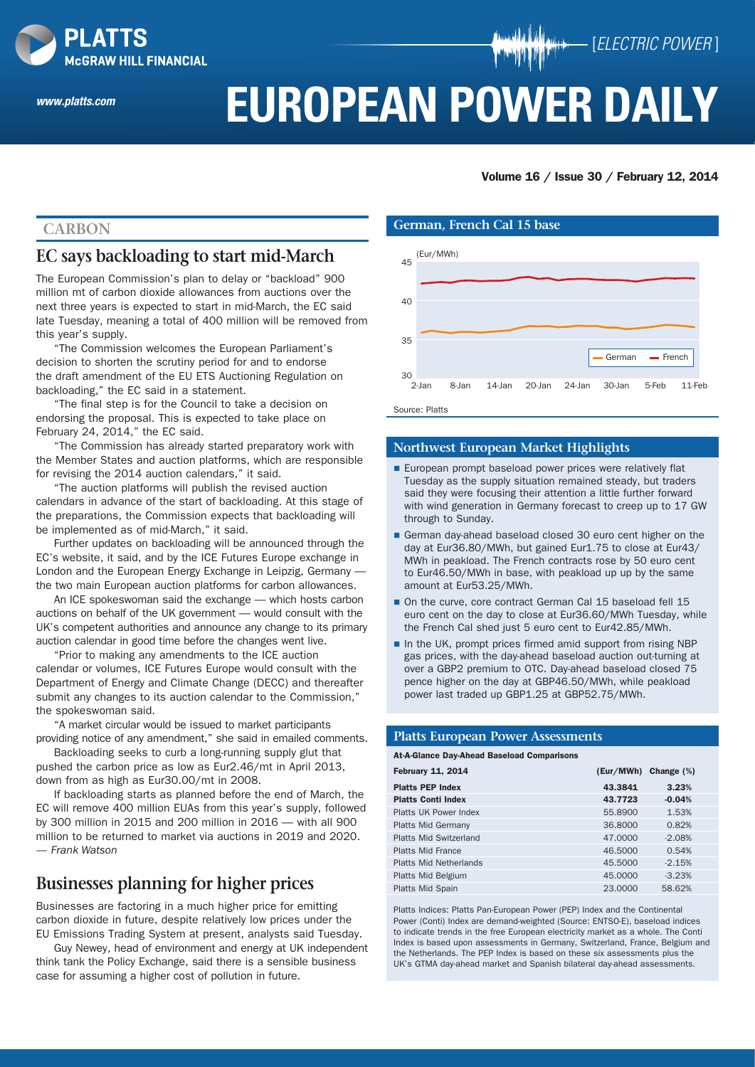

*www.platts.com*

# **EUROPEAN POWER DAILY**

Volume 16 / Issue 30 / February 12, 2014

[*ELECTRIC POWER* ]

## **Carbon**

## **EC says backloading to start mid-March**

The European Commission's plan to delay or "backload" 900 million mt of carbon dioxide allowances from auctions over the next three years is expected to start in mid-March, the EC said late Tuesday, meaning a total of 400 million will be removed from this year's supply.

"The Commission welcomes the European Parliament's decision to shorten the scrutiny period for and to endorse the draft amendment of the EU ETS Auctioning Regulation on backloading," the EC said in a statement.

"The final step is for the Council to take a decision on endorsing the proposal. This is expected to take place on February 24, 2014," the EC said.

"The Commission has already started preparatory work with the Member States and auction platforms, which are responsible for revising the 2014 auction calendars," it said.

"The auction platforms will publish the revised auction calendars in advance of the start of backloading. At this stage of the preparations, the Commission expects that backloading will be implemented as of mid-March," it said.

Further updates on backloading will be announced through the EC's website, it said, and by the ICE Futures Europe exchange in London and the European Energy Exchange in Leipzig, Germany the two main European auction platforms for carbon allowances.

An ICE spokeswoman said the exchange — which hosts carbon auctions on behalf of the UK government — would consult with the UK's competent authorities and announce any change to its primary auction calendar in good time before the changes went live.

"Prior to making any amendments to the ICE auction calendar or volumes, ICE Futures Europe would consult with the Department of Energy and Climate Change (DECC) and thereafter submit any changes to its auction calendar to the Commission," the spokeswoman said.

"A market circular would be issued to market participants providing notice of any amendment," she said in emailed comments.

Backloading seeks to curb a long-running supply glut that pushed the carbon price as low as Eur2.46/mt in April 2013, down from as high as Eur30.00/mt in 2008.

If backloading starts as planned before the end of March, the EC will remove 400 million EUAs from this year's supply, followed by 300 million in 2015 and 200 million in 2016 — with all 900 million to be returned to market via auctions in 2019 and 2020. *— Frank Watson*

## **Businesses planning for higher prices**

Businesses are factoring in a much higher price for emitting carbon dioxide in future, despite relatively low prices under the EU Emissions Trading System at present, analysts said Tuesday.

Guy Newey, head of environment and energy at UK independent think tank the Policy Exchange, said there is a sensible business case for assuming a higher cost of pollution in future.

#### **German, French Cal 15 base**



Source: Platts

#### **Northwest European Market Highlights**

- European prompt baseload power prices were relatively flat Tuesday as the supply situation remained steady, but traders said they were focusing their attention a little further forward with wind generation in Germany forecast to creep up to 17 GW through to Sunday.
- German day-ahead baseload closed 30 euro cent higher on the day at Eur36.80/MWh, but gained Eur1.75 to close at Eur43/ MWh in peakload. The French contracts rose by 50 euro cent to Eur46.50/MWh in base, with peakload up up by the same amount at Eur53.25/MWh.
- On the curve, core contract German Cal 15 baseload fell 15 euro cent on the day to close at Eur36.60/MWh Tuesday, while the French Cal shed just 5 euro cent to Eur42.85/MWh.
- In the UK, prompt prices firmed amid support from rising NBP gas prices, with the day-ahead baseload auction out-turning at over a GBP2 premium to OTC. Day-ahead baseload closed 75 pence higher on the day at GBP46.50/MWh, while peakload power last traded up GBP1.25 at GBP52.75/MWh.

#### **Platts European Power Assessments**

#### At-A-Glance Day-Ahead Baseload Comparisons

| <b>February 11, 2014</b>      | (Eur/MWh) | Change $(\%)$ |
|-------------------------------|-----------|---------------|
| <b>Platts PEP Index</b>       | 43.3841   | 3.23%         |
| <b>Platts Conti Index</b>     | 43.7723   | $-0.04%$      |
| Platts UK Power Index         | 55,8900   | 1.53%         |
| <b>Platts Mid Germany</b>     | 36,8000   | 0.82%         |
| <b>Platts Mid Switzerland</b> | 47,0000   | $-2.08%$      |
| <b>Platts Mid France</b>      | 46.5000   | 0.54%         |
| Platts Mid Netherlands        | 45,5000   | $-2.15%$      |
| Platts Mid Belgium            | 45,0000   | $-3.23%$      |
| <b>Platts Mid Spain</b>       | 23,0000   | 58.62%        |

Platts Indices: Platts Pan-European Power (PEP) Index and the Continental Power (Conti) Index are demand-weighted (Source: ENTSO-E), baseload indices to indicate trends in the free European electricity market as a whole. The Conti Index is based upon assessments in Germany, Switzerland, France, Belgium and the Netherlands. The PEP Index is based on these six assessments plus the UK's GTMA day-ahead market and Spanish bilateral day-ahead assessments.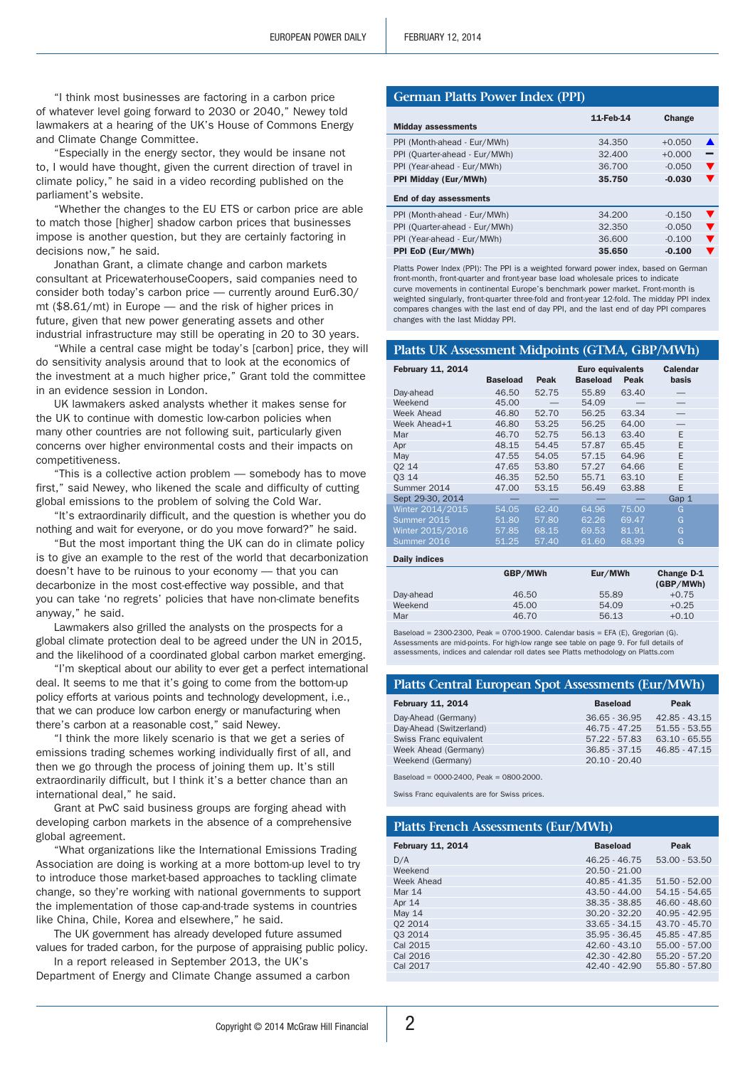"I think most businesses are factoring in a carbon price of whatever level going forward to 2030 or 2040," Newey told lawmakers at a hearing of the UK's House of Commons Energy and Climate Change Committee.

"Especially in the energy sector, they would be insane not to, I would have thought, given the current direction of travel in climate policy," he said in a video recording published on the parliament's website.

"Whether the changes to the EU ETS or carbon price are able to match those [higher] shadow carbon prices that businesses impose is another question, but they are certainly factoring in decisions now," he said.

Jonathan Grant, a climate change and carbon markets consultant at PricewaterhouseCoopers, said companies need to consider both today's carbon price — currently around Eur6.30/ mt (\$8.61/mt) in Europe — and the risk of higher prices in future, given that new power generating assets and other industrial infrastructure may still be operating in 20 to 30 years.

"While a central case might be today's [carbon] price, they will do sensitivity analysis around that to look at the economics of the investment at a much higher price," Grant told the committee in an evidence session in London.

UK lawmakers asked analysts whether it makes sense for the UK to continue with domestic low-carbon policies when many other countries are not following suit, particularly given concerns over higher environmental costs and their impacts on competitiveness.

"This is a collective action problem — somebody has to move first," said Newey, who likened the scale and difficulty of cutting global emissions to the problem of solving the Cold War.

"It's extraordinarily difficult, and the question is whether you do nothing and wait for everyone, or do you move forward?" he said.

"But the most important thing the UK can do in climate policy is to give an example to the rest of the world that decarbonization doesn't have to be ruinous to your economy — that you can decarbonize in the most cost-effective way possible, and that you can take 'no regrets' policies that have non-climate benefits anyway," he said.

Lawmakers also grilled the analysts on the prospects for a global climate protection deal to be agreed under the UN in 2015, and the likelihood of a coordinated global carbon market emerging.

"I'm skeptical about our ability to ever get a perfect international deal. It seems to me that it's going to come from the bottom-up policy efforts at various points and technology development, i.e., that we can produce low carbon energy or manufacturing when there's carbon at a reasonable cost," said Newey.

"I think the more likely scenario is that we get a series of emissions trading schemes working individually first of all, and then we go through the process of joining them up. It's still extraordinarily difficult, but I think it's a better chance than an international deal," he said.

Grant at PwC said business groups are forging ahead with developing carbon markets in the absence of a comprehensive global agreement.

"What organizations like the International Emissions Trading Association are doing is working at a more bottom-up level to try to introduce those market-based approaches to tackling climate change, so they're working with national governments to support the implementation of those cap-and-trade systems in countries like China, Chile, Korea and elsewhere," he said.

The UK government has already developed future assumed values for traded carbon, for the purpose of appraising public policy. In a report released in September 2013, the UK's

Department of Energy and Climate Change assumed a carbon

#### **German Platts Power Index (PPI)**

| 11-Feb-14 | Change   |                      |
|-----------|----------|----------------------|
| 34.350    | $+0.050$ | ▲                    |
| 32.400    | $+0.000$ |                      |
| 36.700    | $-0.050$ | $\blacktriangledown$ |
| 35.750    | $-0.030$ | $\blacktriangledown$ |
|           |          |                      |
| 34,200    | $-0.150$ | $\blacktriangledown$ |
| 32.350    | $-0.050$ | $\blacktriangledown$ |
| 36,600    | $-0.100$ | $\blacktriangledown$ |
| 35,650    | $-0.100$ | v                    |
|           |          |                      |

Platts Power Index (PPI): The PPI is a weighted forward power index, based on German front-month, front-quarter and front-year base load wholesale prices to indicate curve movements in continental Europe's benchmark power market. Front-month is weighted singularly, front-quarter three-fold and front-year 12-fold. The midday PPI index compares changes with the last end of day PPI, and the last end of day PPI compares changes with the last Midday PPI.

#### **Platts UK Assessment Midpoints (GTMA, GBP/MWh)**

| <b>February 11, 2014</b> | <b>Baseload</b> | Peak  | Euro equivalents<br><b>Baseload</b> | Peak  | Calendar<br>basis |
|--------------------------|-----------------|-------|-------------------------------------|-------|-------------------|
| Day-ahead                | 46.50           | 52.75 | 55.89                               | 63.40 |                   |
| Weekend                  | 45.00           |       | 54.09                               |       |                   |
| Week Ahead               | 46.80           | 52.70 | 56.25                               | 63.34 |                   |
| Week Ahead+1             | 46.80           | 53.25 | 56.25                               | 64.00 |                   |
| Mar                      | 46.70           | 52.75 | 56.13                               | 63.40 | F                 |
| Apr                      | 48.15           | 54.45 | 57.87                               | 65.45 | F                 |
| May                      | 47.55           | 54.05 | 57.15                               | 64.96 | E                 |
| 02 14                    | 47.65           | 53.80 | 57.27                               | 64.66 | E                 |
| 03 14                    | 46.35           | 52.50 | 55.71                               | 63.10 | F                 |
| Summer 2014              | 47.00           | 53.15 | 56.49                               | 63.88 | E                 |
| Sept 29-30, 2014         |                 |       |                                     |       | Gap 1             |
| Winter 2014/2015         | 54.05           | 62.40 | 64.96                               | 75.00 | G                 |
| Summer 2015              | 51.80           | 57.80 | 62.26                               | 69.47 | G                 |
| Winter 2015/2016         | 57.85           | 68.15 | 69.53                               | 81.91 | G                 |
| Summer 2016              | 51.25           | 57.40 | 61.60                               | 68.99 | G                 |
|                          |                 |       |                                     |       |                   |

| GBP/MWh | Eur/MWh | Change D-1<br>(GBP/MWh) |
|---------|---------|-------------------------|
| 46.50   | 55.89   | $+0.75$                 |
| 45.00   | 54.09   | $+0.25$                 |
| 46.70   | 56.13   | $+0.10$                 |
|         |         |                         |

Baseload = 2300-2300, Peak = 0700-1900. Calendar basis = EFA (E), Gregorian (G). Assessments are mid-points. For high-low range see table on page 9. For full details of assessments, indices and calendar roll dates see Platts methodology on Platts.com

#### **Platts Central European Spot Assessments (Eur/MWh)**

| <b>February 11, 2014</b> | <b>Baseload</b> | Peak            |
|--------------------------|-----------------|-----------------|
| Day-Ahead (Germany)      | $36.65 - 36.95$ | $42.85 - 43.15$ |
| Day-Ahead (Switzerland)  | $46.75 - 47.25$ | $51.55 - 53.55$ |
| Swiss Franc equivalent   | $57.22 - 57.83$ | $63.10 - 65.55$ |
| Week Ahead (Germany)     | $36.85 - 37.15$ | 46.85 - 47.15   |
| Weekend (Germany)        | $20.10 - 20.40$ |                 |
|                          |                 |                 |

Baseload = 0000-2400, Peak = 0800-2000.

Daily indices

Swiss Franc equivalents are for Swiss prices.

| <b>Platts French Assessments (Eur/MWh)</b> |                 |                 |  |  |
|--------------------------------------------|-----------------|-----------------|--|--|
| <b>February 11, 2014</b>                   | <b>Baseload</b> | Peak            |  |  |
| D/A                                        | $46.25 - 46.75$ | $53.00 - 53.50$ |  |  |
| Weekend                                    | $20.50 - 21.00$ |                 |  |  |
| Week Ahead                                 | $40.85 - 41.35$ | $51.50 - 52.00$ |  |  |
| <b>Mar 14</b>                              | $43.50 - 44.00$ | $54.15 - 54.65$ |  |  |
| Apr 14                                     | $38.35 - 38.85$ | $46.60 - 48.60$ |  |  |
| <b>May 14</b>                              | $30.20 - 32.20$ | $40.95 - 42.95$ |  |  |
| 02 2014                                    | $33.65 - 34.15$ | $43.70 - 45.70$ |  |  |
| 03 2014                                    | $35.95 - 36.45$ | 45.85 - 47.85   |  |  |
| Cal 2015                                   | $42.60 - 43.10$ | $55.00 - 57.00$ |  |  |
| Cal 2016                                   | $42.30 - 42.80$ | $55.20 - 57.20$ |  |  |
| Cal 2017                                   | $42.40 - 42.90$ | 55.80 - 57.80   |  |  |
|                                            |                 |                 |  |  |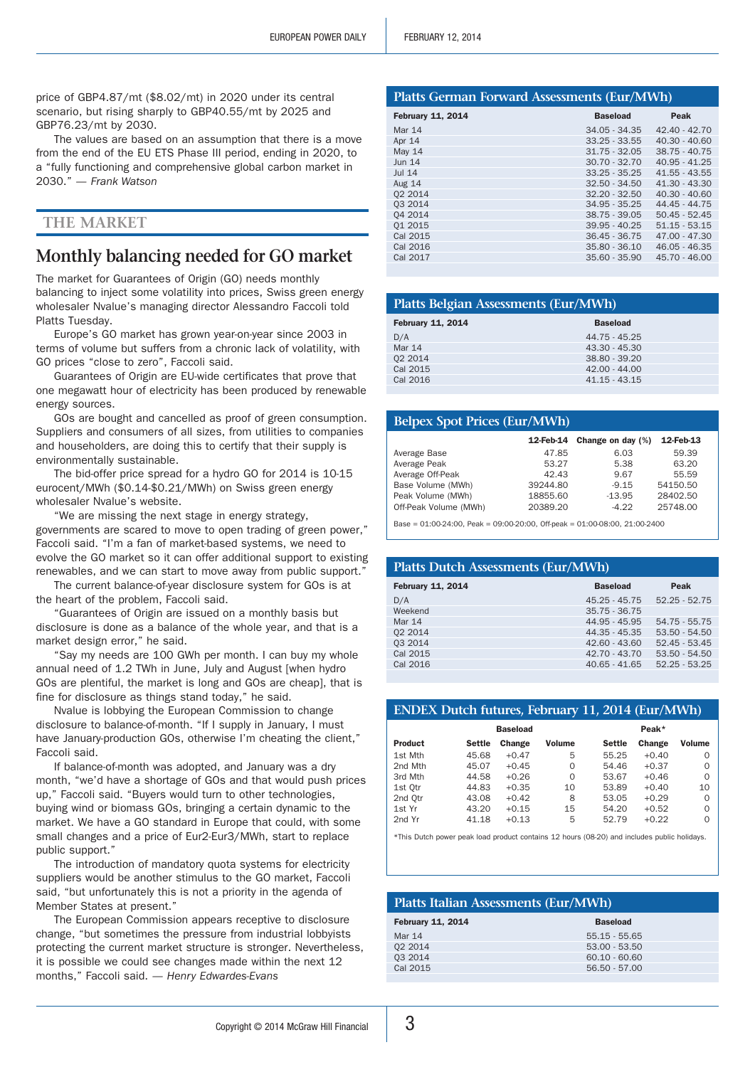price of GBP4.87/mt (\$8.02/mt) in 2020 under its central scenario, but rising sharply to GBP40.55/mt by 2025 and GBP76.23/mt by 2030.

The values are based on an assumption that there is a move from the end of the EU ETS Phase III period, ending in 2020, to a "fully functioning and comprehensive global carbon market in 2030." *— Frank Watson*

## **The Market**

## **Monthly balancing needed for GO market**

The market for Guarantees of Origin (GO) needs monthly balancing to inject some volatility into prices, Swiss green energy wholesaler Nvalue's managing director Alessandro Faccoli told Platts Tuesday.

Europe's GO market has grown year-on-year since 2003 in terms of volume but suffers from a chronic lack of volatility, with GO prices "close to zero", Faccoli said.

Guarantees of Origin are EU-wide certificates that prove that one megawatt hour of electricity has been produced by renewable energy sources.

GOs are bought and cancelled as proof of green consumption. Suppliers and consumers of all sizes, from utilities to companies and householders, are doing this to certify that their supply is environmentally sustainable.

The bid-offer price spread for a hydro GO for 2014 is 10-15 eurocent/MWh (\$0.14-\$0.21/MWh) on Swiss green energy wholesaler Nvalue's website.

"We are missing the next stage in energy strategy, governments are scared to move to open trading of green power," Faccoli said. "I'm a fan of market-based systems, we need to evolve the GO market so it can offer additional support to existing renewables, and we can start to move away from public support."

The current balance-of-year disclosure system for GOs is at the heart of the problem, Faccoli said.

"Guarantees of Origin are issued on a monthly basis but disclosure is done as a balance of the whole year, and that is a market design error," he said.

"Say my needs are 100 GWh per month. I can buy my whole annual need of 1.2 TWh in June, July and August [when hydro GOs are plentiful, the market is long and GOs are cheap], that is fine for disclosure as things stand today," he said.

Nvalue is lobbying the European Commission to change disclosure to balance-of-month. "If I supply in January, I must have January-production GOs, otherwise I'm cheating the client," Faccoli said.

If balance-of-month was adopted, and January was a dry month, "we'd have a shortage of GOs and that would push prices up," Faccoli said. "Buyers would turn to other technologies, buying wind or biomass GOs, bringing a certain dynamic to the market. We have a GO standard in Europe that could, with some small changes and a price of Eur2-Eur3/MWh, start to replace public support."

The introduction of mandatory quota systems for electricity suppliers would be another stimulus to the GO market, Faccoli said, "but unfortunately this is not a priority in the agenda of Member States at present."

The European Commission appears receptive to disclosure change, "but sometimes the pressure from industrial lobbyists protecting the current market structure is stronger. Nevertheless, it is possible we could see changes made within the next 12 months," Faccoli said. *— Henry Edwardes-Evans*

#### **Platts German Forward Assessments (Eur/MWh)**

| <b>February 11, 2014</b> | <b>Baseload</b> | Peak            |
|--------------------------|-----------------|-----------------|
| Mar 14                   | $34.05 - 34.35$ | $42.40 - 42.70$ |
| Apr 14                   | $33.25 - 33.55$ | $40.30 - 40.60$ |
| <b>May 14</b>            | $31.75 - 32.05$ | $38.75 - 40.75$ |
| <b>Jun 14</b>            | $30.70 - 32.70$ | $40.95 - 41.25$ |
| $Jul$ 14                 | $33.25 - 35.25$ | $41.55 - 43.55$ |
| <b>Aug 14</b>            | $32.50 - 34.50$ | $41.30 - 43.30$ |
| 02 2014                  | $32.20 - 32.50$ | $40.30 - 40.60$ |
| 03 2014                  | $34.95 - 35.25$ | 44.45 - 44.75   |
| 04 2014                  | $38.75 - 39.05$ | $50.45 - 52.45$ |
| 01 2015                  | $39.95 - 40.25$ | $51.15 - 53.15$ |
| Cal 2015                 | $36.45 - 36.75$ | $47.00 - 47.30$ |
| Cal 2016                 | $35.80 - 36.10$ | $46.05 - 46.35$ |
| Cal 2017                 | $35.60 - 35.90$ | $45.70 - 46.00$ |
|                          |                 |                 |

| Platts Belgian Assessments (Eur/MWh) |                 |  |  |
|--------------------------------------|-----------------|--|--|
| <b>February 11, 2014</b>             | <b>Baseload</b> |  |  |
| D/A                                  | 44.75 - 45.25   |  |  |
| <b>Mar 14</b>                        | 43.30 - 45.30   |  |  |
| 02 2014                              | 38.80 - 39.20   |  |  |
| Cal 2015                             | $42.00 - 44.00$ |  |  |
| Cal 2016                             | $41.15 - 43.15$ |  |  |
|                                      |                 |  |  |

| <b>Belpex Spot Prices (Eur/MWh)</b> |           |                   |           |  |  |  |
|-------------------------------------|-----------|-------------------|-----------|--|--|--|
|                                     | 12-Feb-14 | Change on day (%) | 12-Feb-13 |  |  |  |
| Average Base                        | 47.85     | 6.03              | 59.39     |  |  |  |
| Average Peak                        | 53.27     | 5.38              | 63.20     |  |  |  |
| Average Off-Peak                    | 42.43     | 9.67              | 55.59     |  |  |  |
| Base Volume (MWh)                   | 39244.80  | $-9.15$           | 54150.50  |  |  |  |
| Peak Volume (MWh)                   | 18855.60  | $-13.95$          | 28402.50  |  |  |  |
| Off-Peak Volume (MWh)               | 20389.20  | $-4.22$           | 25748.00  |  |  |  |

 $Base = 01:00-24:00$ ,  $Peak = 09:00-20:00$ ,  $Off-peak = 01:00-08:00$ ,  $21:00-2400$ 

| <b>Platts Dutch Assessments (Eur/MWh)</b> |                 |                 |  |
|-------------------------------------------|-----------------|-----------------|--|
| <b>February 11, 2014</b>                  | <b>Baseload</b> | Peak            |  |
| D/A                                       | $45.25 - 45.75$ | $52.25 - 52.75$ |  |
| Weekend                                   | $35.75 - 36.75$ |                 |  |
| Mar 14                                    | 44.95 - 45.95   | $54.75 - 55.75$ |  |
| 02 2014                                   | $44.35 - 45.35$ | $53.50 - 54.50$ |  |
| 03 2014                                   | $42.60 - 43.60$ | $52.45 - 53.45$ |  |
| Cal 2015                                  | $42.70 - 43.70$ | $53.50 - 54.50$ |  |
| Cal 2016                                  | $40.65 - 41.65$ | $52.25 - 53.25$ |  |
|                                           |                 |                 |  |

| <b>ENDEX Dutch futures, February 11, 2014 (Eur/MWh)</b> |               |                 |               |               |         |               |
|---------------------------------------------------------|---------------|-----------------|---------------|---------------|---------|---------------|
|                                                         |               | <b>Baseload</b> |               |               | Peak*   |               |
| <b>Product</b>                                          | <b>Settle</b> | Change          | <b>Volume</b> | <b>Settle</b> | Change  | <b>Volume</b> |
| 1st Mth                                                 | 45.68         | $+0.47$         | 5             | 55.25         | $+0.40$ | ∩             |
| 2nd Mth                                                 | 45.07         | $+0.45$         | $\Omega$      | 54.46         | $+0.37$ | ∩             |
| 3rd Mth                                                 | 44.58         | $+0.26$         | $\Omega$      | 53.67         | $+0.46$ | ∩             |
| 1st Otr                                                 | 44.83         | $+0.35$         | 10            | 53.89         | $+0.40$ | 10            |
| 2nd Otr                                                 | 43.08         | $+0.42$         | 8             | 53.05         | $+0.29$ | ∩             |
| 1st Yr                                                  | 43.20         | $+0.15$         | 15            | 54.20         | $+0.52$ | ∩             |
| 2nd Yr                                                  | 41.18         | $+0.13$         | 5             | 52.79         | $+0.22$ | ∩             |

\*This Dutch power peak load product contains 12 hours (08-20) and includes public holidays.

#### **Platts Italian Assessments (Eur/MWh)**

| <b>February 11, 2014</b> | <b>Baseload</b> |
|--------------------------|-----------------|
| Mar 14                   | $55.15 - 55.65$ |
| 02 2014                  | $53.00 - 53.50$ |
| 03 2014                  | $60.10 - 60.60$ |
| Cal 2015                 | $56.50 - 57.00$ |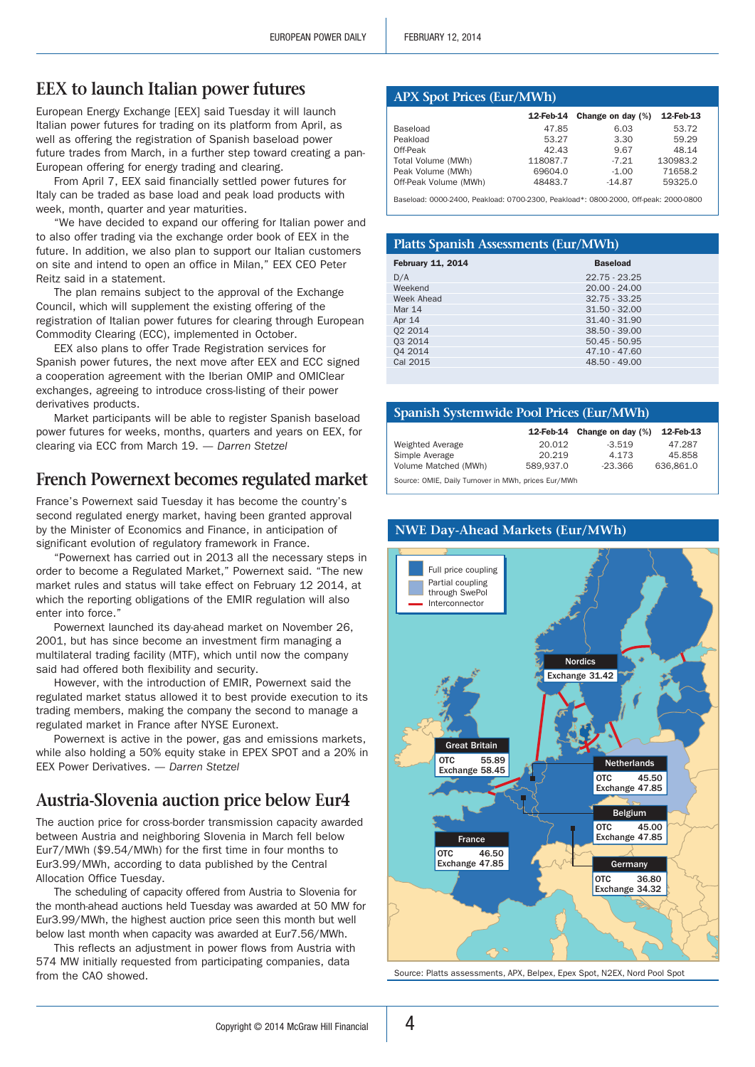## **EEX to launch Italian power futures**

European Energy Exchange [EEX] said Tuesday it will launch Italian power futures for trading on its platform from April, as well as offering the registration of Spanish baseload power future trades from March, in a further step toward creating a pan-European offering for energy trading and clearing.

From April 7, EEX said financially settled power futures for Italy can be traded as base load and peak load products with week, month, quarter and year maturities.

"We have decided to expand our offering for Italian power and to also offer trading via the exchange order book of EEX in the future. In addition, we also plan to support our Italian customers on site and intend to open an office in Milan," EEX CEO Peter Reitz said in a statement.

The plan remains subject to the approval of the Exchange Council, which will supplement the existing offering of the registration of Italian power futures for clearing through European Commodity Clearing (ECC), implemented in October.

EEX also plans to offer Trade Registration services for Spanish power futures, the next move after EEX and ECC signed a cooperation agreement with the Iberian OMIP and OMIClear exchanges, agreeing to introduce cross-listing of their power derivatives products.

Market participants will be able to register Spanish baseload power futures for weeks, months, quarters and years on EEX, for clearing via ECC from March 19. *— Darren Stetzel*

## **French Powernext becomes regulated market**

France's Powernext said Tuesday it has become the country's second regulated energy market, having been granted approval by the Minister of Economics and Finance, in anticipation of significant evolution of regulatory framework in France.

"Powernext has carried out in 2013 all the necessary steps in order to become a Regulated Market," Powernext said. "The new market rules and status will take effect on February 12 2014, at which the reporting obligations of the EMIR regulation will also enter into force."

Powernext launched its day-ahead market on November 26, 2001, but has since become an investment firm managing a multilateral trading facility (MTF), which until now the company said had offered both flexibility and security.

However, with the introduction of EMIR, Powernext said the regulated market status allowed it to best provide execution to its trading members, making the company the second to manage a regulated market in France after NYSE Euronext.

Powernext is active in the power, gas and emissions markets, while also holding a 50% equity stake in EPEX SPOT and a 20% in EEX Power Derivatives. *— Darren Stetzel*

## **Austria-Slovenia auction price below Eur4**

The auction price for cross-border transmission capacity awarded between Austria and neighboring Slovenia in March fell below Eur7/MWh (\$9.54/MWh) for the first time in four months to Eur3.99/MWh, according to data published by the Central Allocation Office Tuesday.

The scheduling of capacity offered from Austria to Slovenia for the month-ahead auctions held Tuesday was awarded at 50 MW for Eur3.99/MWh, the highest auction price seen this month but well below last month when capacity was awarded at Eur7.56/MWh.

This reflects an adjustment in power flows from Austria with 574 MW initially requested from participating companies, data from the CAO showed. Source: Platts assessments, APX, Belpex, Epex Spot, N2EX, Nord Pool Spot

#### **APX Spot Prices (Eur/MWh)**

|                       | 12-Feb-14 | Change on day (%) | 12-Feb-13 |
|-----------------------|-----------|-------------------|-----------|
| Baseload              | 47.85     | 6.03              | 53.72     |
| Peakload              | 53.27     | 3.30              | 59.29     |
| Off-Peak              | 42.43     | 9.67              | 48.14     |
| Total Volume (MWh)    | 118087.7  | $-7.21$           | 130983.2  |
| Peak Volume (MWh)     | 69604.0   | $-1.00$           | 71658.2   |
| Off-Peak Volume (MWh) | 48483.7   | $-14.87$          | 59325.0   |

Baseload: 0000-2400, Peakload: 0700-2300, Peakload\*: 0800-2000, Off-peak: 2000-0800

#### **Platts Spanish Assessments (Eur/MWh)**

| <b>February 11, 2014</b> | <b>Baseload</b> |  |
|--------------------------|-----------------|--|
| D/A                      | $22.75 - 23.25$ |  |
| Weekend                  | $20.00 - 24.00$ |  |
| Week Ahead               | $32.75 - 33.25$ |  |
| Mar 14                   | $31.50 - 32.00$ |  |
| Apr $14$                 | $31.40 - 31.90$ |  |
| 02 2014                  | $38.50 - 39.00$ |  |
| 03 2014                  | $50.45 - 50.95$ |  |
| 04 2014                  | $47.10 - 47.60$ |  |
| Cal 2015                 | 48.50 - 49.00   |  |
|                          |                 |  |

#### **Spanish Systemwide Pool Prices (Eur/MWh)**

**NWE Day-Ahead Markets (Eur/MWh)**

|                                                     |           | 12-Feb-14 Change on day $(\%)$ | 12-Feb-13 |  |
|-----------------------------------------------------|-----------|--------------------------------|-----------|--|
| Weighted Average                                    | 20.012    | $-3.519$                       | 47.287    |  |
| Simple Average                                      | 20.219    | 4.173                          | 45.858    |  |
| Volume Matched (MWh)                                | 589.937.0 | $-23.366$                      | 636.861.0 |  |
| Source: OMIE, Daily Turnover in MWh, prices Eur/MWh |           |                                |           |  |

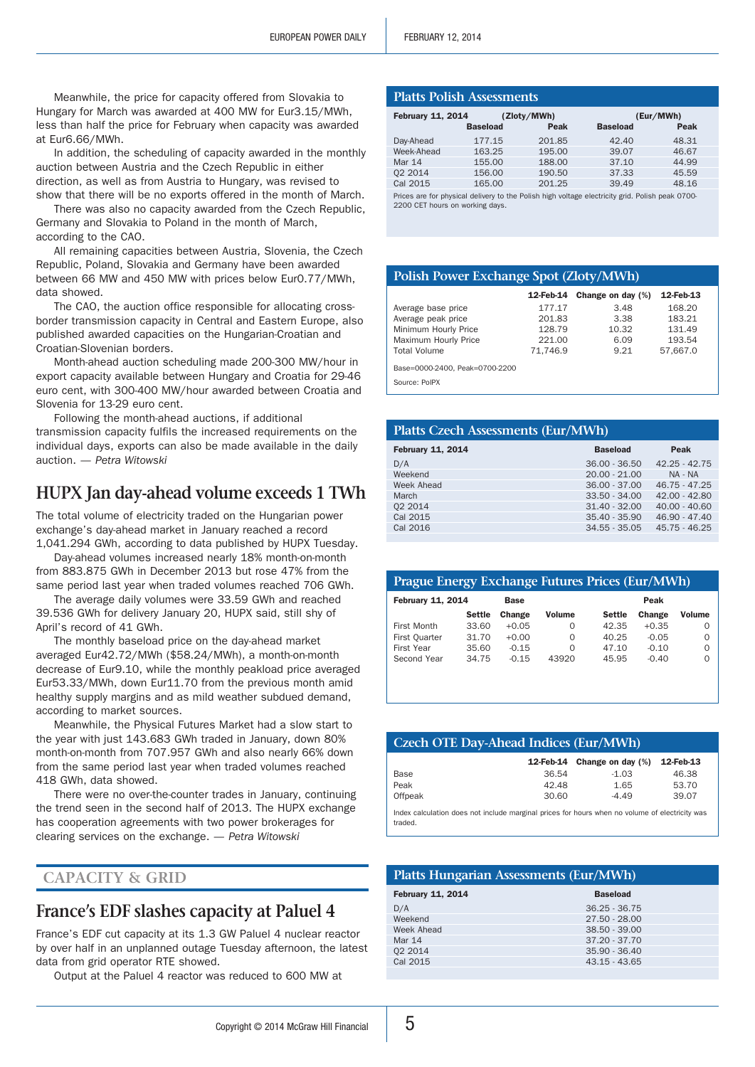Meanwhile, the price for capacity offered from Slovakia to Hungary for March was awarded at 400 MW for Eur3.15/MWh, less than half the price for February when capacity was awarded at Eur6.66/MWh.

In addition, the scheduling of capacity awarded in the monthly auction between Austria and the Czech Republic in either direction, as well as from Austria to Hungary, was revised to show that there will be no exports offered in the month of March.

There was also no capacity awarded from the Czech Republic, Germany and Slovakia to Poland in the month of March, according to the CAO.

All remaining capacities between Austria, Slovenia, the Czech Republic, Poland, Slovakia and Germany have been awarded between 66 MW and 450 MW with prices below Eur0.77/MWh, data showed.

The CAO, the auction office responsible for allocating crossborder transmission capacity in Central and Eastern Europe, also published awarded capacities on the Hungarian-Croatian and Croatian-Slovenian borders.

Month-ahead auction scheduling made 200-300 MW/hour in export capacity available between Hungary and Croatia for 29-46 euro cent, with 300-400 MW/hour awarded between Croatia and Slovenia for 13-29 euro cent.

Following the month-ahead auctions, if additional transmission capacity fulfils the increased requirements on the individual days, exports can also be made available in the daily auction. *— Petra Witowski*

## **HUPX Jan day-ahead volume exceeds 1 TWh**

The total volume of electricity traded on the Hungarian power exchange's day-ahead market in January reached a record 1,041.294 GWh, according to data published by HUPX Tuesday.

Day-ahead volumes increased nearly 18% month-on-month from 883.875 GWh in December 2013 but rose 47% from the same period last year when traded volumes reached 706 GWh.

The average daily volumes were 33.59 GWh and reached 39.536 GWh for delivery January 20, HUPX said, still shy of April's record of 41 GWh.

The monthly baseload price on the day-ahead market averaged Eur42.72/MWh (\$58.24/MWh), a month-on-month decrease of Eur9.10, while the monthly peakload price averaged Eur53.33/MWh, down Eur11.70 from the previous month amid healthy supply margins and as mild weather subdued demand, according to market sources.

Meanwhile, the Physical Futures Market had a slow start to the year with just 143.683 GWh traded in January, down 80% month-on-month from 707.957 GWh and also nearly 66% down from the same period last year when traded volumes reached 418 GWh, data showed.

There were no over-the-counter trades in January, continuing the trend seen in the second half of 2013. The HUPX exchange has cooperation agreements with two power brokerages for clearing services on the exchange. *— Petra Witowski*

### **Capacity & Grid**

## **France's EDF slashes capacity at Paluel 4**

France's EDF cut capacity at its 1.3 GW Paluel 4 nuclear reactor by over half in an unplanned outage Tuesday afternoon, the latest data from grid operator RTE showed.

Output at the Paluel 4 reactor was reduced to 600 MW at

| <b>February 11, 2014</b>                                                                                                           |                 | (Zloty/MWh) |                 | (Eur/MWh) |
|------------------------------------------------------------------------------------------------------------------------------------|-----------------|-------------|-----------------|-----------|
|                                                                                                                                    | <b>Baseload</b> | Peak        | <b>Baseload</b> | Peak      |
| Day-Ahead                                                                                                                          | 177.15          | 201.85      | 42.40           | 48.31     |
| Week-Ahead                                                                                                                         | 163.25          | 195.00      | 39.07           | 46.67     |
| Mar 14                                                                                                                             | 155.00          | 188.00      | 37.10           | 44.99     |
| 02 2014                                                                                                                            | 156.00          | 190.50      | 37.33           | 45.59     |
| Cal 2015                                                                                                                           | 165.00          | 201.25      | 39.49           | 48.16     |
| Prices are for physical delivery to the Polish high voltage electricity grid. Polish peak 0700-<br>2200 CET hours on working days. |                 |             |                 |           |

#### **Polish Power Exchange Spot (Zloty/MWh)**

|                                | 12-Feb-14 | Change on day (%) | 12-Feb-13 |
|--------------------------------|-----------|-------------------|-----------|
| Average base price             | 177.17    | 3.48              | 168.20    |
| Average peak price             | 201.83    | 3.38              | 183.21    |
| Minimum Hourly Price           | 128.79    | 10.32             | 131.49    |
| Maximum Hourly Price           | 221.00    | 6.09              | 193.54    |
| <b>Total Volume</b>            | 71.746.9  | 9.21              | 57.667.0  |
| Base=0000-2400, Peak=0700-2200 |           |                   |           |
| Source: PolPX                  |           |                   |           |

| <b>Platts Czech Assessments (Eur/MWh)</b> |                 |                 |  |  |
|-------------------------------------------|-----------------|-----------------|--|--|
| <b>February 11, 2014</b>                  | <b>Baseload</b> | Peak            |  |  |
| D/A                                       | $36.00 - 36.50$ | $42.25 - 42.75$ |  |  |
| Weekend                                   | $20.00 - 21.00$ | NA - NA         |  |  |
| Week Ahead                                | $36.00 - 37.00$ | $46.75 - 47.25$ |  |  |
| March                                     | $33.50 - 34.00$ | $42.00 - 42.80$ |  |  |
| 02 2014                                   | $31.40 - 32.00$ | $40.00 - 40.60$ |  |  |
| Cal 2015                                  | 35.40 - 35.90   | 46.90 - 47.40   |  |  |
| Cal 2016                                  | $34.55 - 35.05$ | $45.75 - 46.25$ |  |  |
|                                           |                 |                 |  |  |

| <b>Prague Energy Exchange Futures Prices (Eur/MWh)</b> |               |         |          |               |         |               |
|--------------------------------------------------------|---------------|---------|----------|---------------|---------|---------------|
| <b>February 11, 2014</b><br>Peak<br><b>Base</b>        |               |         |          |               |         |               |
|                                                        | <b>Settle</b> | Change  | Volume   | <b>Settle</b> | Change  | <b>Volume</b> |
| First Month                                            | 33.60         | $+0.05$ | O        | 42.35         | $+0.35$ | $\Omega$      |
| First Quarter                                          | 31.70         | $+0.00$ | O        | 40.25         | $-0.05$ | $\Omega$      |
| First Year                                             | 35.60         | $-0.15$ | $\Omega$ | 47.10         | $-0.10$ | $\Omega$      |
| Second Year                                            | 34.75         | $-0.15$ | 43920    | 45.95         | $-0.40$ | 0             |

| <b>Czech OTE Day-Ahead Indices (Eur/MWh)</b> |                                                                                                |                   |           |  |
|----------------------------------------------|------------------------------------------------------------------------------------------------|-------------------|-----------|--|
|                                              | 12-Feb-14                                                                                      | Change on day (%) | 12-Feb-13 |  |
| Base                                         | 36.54                                                                                          | $-1.03$           | 46.38     |  |
| Peak                                         | 42.48                                                                                          | 1.65              | 53.70     |  |
| Offpeak                                      | 30.60                                                                                          | $-4.49$           | 39.07     |  |
| traded.                                      | Index calculation does not include marginal prices for hours when no volume of electricity was |                   |           |  |

#### **Platts Hungarian Assessments (Eur/MWh)**

| <b>February 11, 2014</b> | <b>Baseload</b> |
|--------------------------|-----------------|
| D/A                      | $36.25 - 36.75$ |
| Weekend                  | $27.50 - 28.00$ |
| Week Ahead               | $38.50 - 39.00$ |
| Mar 14                   | $37.20 - 37.70$ |
| 02 2014                  | 35.90 - 36.40   |
| Cal 2015                 | $43.15 - 43.65$ |
|                          |                 |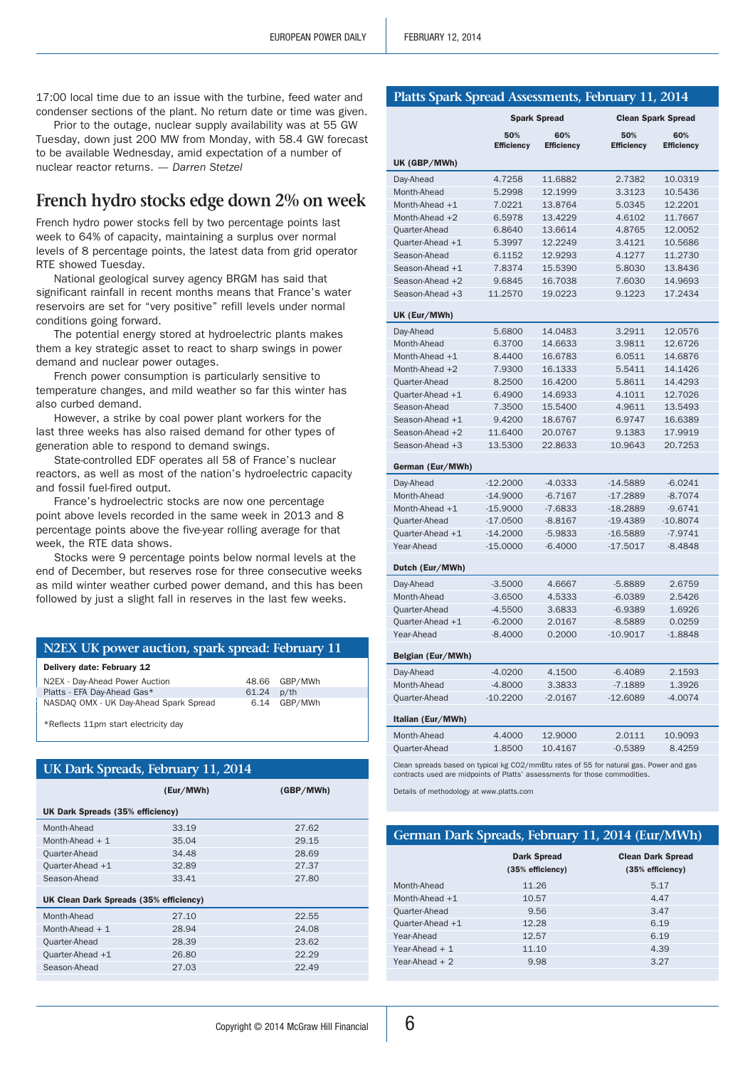17:00 local time due to an issue with the turbine, feed water and condenser sections of the plant. No return date or time was given.

Prior to the outage, nuclear supply availability was at 55 GW Tuesday, down just 200 MW from Monday, with 58.4 GW forecast to be available Wednesday, amid expectation of a number of nuclear reactor returns. *— Darren Stetzel*

## **French hydro stocks edge down 2% on week**

French hydro power stocks fell by two percentage points last week to 64% of capacity, maintaining a surplus over normal levels of 8 percentage points, the latest data from grid operator RTE showed Tuesday.

National geological survey agency BRGM has said that significant rainfall in recent months means that France's water reservoirs are set for "very positive" refill levels under normal conditions going forward.

The potential energy stored at hydroelectric plants makes them a key strategic asset to react to sharp swings in power demand and nuclear power outages.

French power consumption is particularly sensitive to temperature changes, and mild weather so far this winter has also curbed demand.

However, a strike by coal power plant workers for the last three weeks has also raised demand for other types of generation able to respond to demand swings.

State-controlled EDF operates all 58 of France's nuclear reactors, as well as most of the nation's hydroelectric capacity and fossil fuel-fired output.

France's hydroelectric stocks are now one percentage point above levels recorded in the same week in 2013 and 8 percentage points above the five-year rolling average for that week, the RTE data shows.

Stocks were 9 percentage points below normal levels at the end of December, but reserves rose for three consecutive weeks as mild winter weather curbed power demand, and this has been followed by just a slight fall in reserves in the last few weeks.

#### **N2EX UK power auction, spark spread: February 11**

| Delivery date: February 12             |       |               |  |
|----------------------------------------|-------|---------------|--|
| N2EX - Day-Ahead Power Auction         |       | 48.66 GBP/MWh |  |
| Platts - EFA Day-Ahead Gas*            | 61.24 | $p$ /th       |  |
| NASDAQ OMX - UK Day-Ahead Spark Spread | 6.14  | GBP/MWh       |  |
|                                        |       |               |  |

\*Reflects 11pm start electricity day

## **UK Dark Spreads, February 11, 2014**

|                                        | (Eur/MWh) | (GBP/MWh) |
|----------------------------------------|-----------|-----------|
| UK Dark Spreads (35% efficiency)       |           |           |
| Month-Ahead                            | 33.19     | 27.62     |
| Month-Ahead $+1$                       | 35.04     | 29.15     |
| Quarter-Ahead                          | 34.48     | 28.69     |
| Quarter-Ahead +1                       | 32.89     | 27.37     |
| Season-Ahead                           | 33.41     | 27.80     |
| UK Clean Dark Spreads (35% efficiency) |           |           |
| Month-Ahead                            | 27.10     | 22.55     |
| Month-Ahead $+1$                       | 28.94     | 24.08     |
| Quarter-Ahead                          | 28.39     | 23.62     |
| Ouarter-Ahead $+1$                     | 26.80     | 22.29     |
| Season-Ahead                           | 27.03     | 22.49     |
|                                        |           |           |

|                   | <b>Spark Spread</b><br><b>Clean Spark Spread</b>                                                                                                                     |                          |                          |                          |  |
|-------------------|----------------------------------------------------------------------------------------------------------------------------------------------------------------------|--------------------------|--------------------------|--------------------------|--|
|                   | 50%<br><b>Efficiency</b>                                                                                                                                             | 60%<br><b>Efficiency</b> | 50%<br><b>Efficiency</b> | 60%<br><b>Efficiency</b> |  |
| UK (GBP/MWh)      |                                                                                                                                                                      |                          |                          |                          |  |
| Day-Ahead         | 4.7258                                                                                                                                                               | 11.6882                  | 2.7382                   | 10.0319                  |  |
| Month-Ahead       | 5.2998                                                                                                                                                               | 12.1999                  | 3.3123                   | 10.5436                  |  |
| Month-Ahead +1    | 7.0221                                                                                                                                                               | 13.8764                  | 5.0345                   | 12.2201                  |  |
| Month-Ahead +2    | 6.5978                                                                                                                                                               | 13.4229                  | 4.6102                   | 11.7667                  |  |
| Quarter-Ahead     | 6.8640                                                                                                                                                               | 13.6614                  | 4.8765                   | 12.0052                  |  |
| Quarter-Ahead +1  | 5.3997                                                                                                                                                               | 12.2249                  | 3.4121                   | 10.5686                  |  |
| Season-Ahead      | 6.1152                                                                                                                                                               | 12.9293                  | 4.1277                   | 11.2730                  |  |
| Season-Ahead +1   | 7.8374                                                                                                                                                               | 15.5390                  | 5.8030                   | 13.8436                  |  |
| Season-Ahead +2   | 9.6845                                                                                                                                                               | 16.7038                  | 7.6030                   | 14.9693                  |  |
| Season-Ahead +3   | 11.2570                                                                                                                                                              | 19.0223                  | 9.1223                   | 17.2434                  |  |
| UK (Eur/MWh)      |                                                                                                                                                                      |                          |                          |                          |  |
| Day-Ahead         | 5.6800                                                                                                                                                               | 14.0483                  | 3.2911                   | 12.0576                  |  |
| Month-Ahead       | 6.3700                                                                                                                                                               | 14.6633                  | 3.9811                   | 12.6726                  |  |
| Month-Ahead $+1$  | 8.4400                                                                                                                                                               | 16.6783                  | 6.0511                   | 14.6876                  |  |
| Month-Ahead $+2$  | 7.9300                                                                                                                                                               | 16.1333                  | 5.5411                   | 14.1426                  |  |
| Quarter-Ahead     | 8.2500                                                                                                                                                               | 16.4200                  | 5.8611                   | 14.4293                  |  |
| Quarter-Ahead +1  | 6.4900                                                                                                                                                               | 14.6933                  | 4.1011                   | 12.7026                  |  |
| Season-Ahead      | 7.3500                                                                                                                                                               | 15.5400                  | 4.9611                   | 13.5493                  |  |
| Season-Ahead +1   | 9.4200                                                                                                                                                               | 18.6767                  | 6.9747                   | 16.6389                  |  |
| Season-Ahead +2   | 11.6400                                                                                                                                                              | 20.0767                  | 9.1383                   | 17.9919                  |  |
| Season-Ahead +3   | 13.5300                                                                                                                                                              | 22.8633                  | 10.9643                  | 20.7253                  |  |
|                   |                                                                                                                                                                      |                          |                          |                          |  |
| German (Eur/MWh)  |                                                                                                                                                                      |                          |                          |                          |  |
| Day-Ahead         | $-12.2000$                                                                                                                                                           | $-4.0333$                | $-14.5889$               | $-6.0241$                |  |
| Month-Ahead       | $-14.9000$                                                                                                                                                           | $-6.7167$                | $-17.2889$               | $-8.7074$                |  |
| Month-Ahead +1    | $-15.9000$                                                                                                                                                           | $-7.6833$                | $-18.2889$               | $-9.6741$                |  |
| Quarter-Ahead     | $-17.0500$                                                                                                                                                           | $-8.8167$                | -19.4389                 | $-10.8074$               |  |
| Quarter-Ahead +1  | $-14.2000$                                                                                                                                                           | $-5.9833$                | $-16.5889$               | $-7.9741$                |  |
| Year-Ahead        | $-15.0000$                                                                                                                                                           | $-6.4000$                | $-17.5017$               | $-8.4848$                |  |
| Dutch (Eur/MWh)   |                                                                                                                                                                      |                          |                          |                          |  |
| Day-Ahead         | $-3.5000$                                                                                                                                                            | 4.6667                   | $-5.8889$                | 2.6759                   |  |
| Month-Ahead       | $-3.6500$                                                                                                                                                            | 4.5333                   | $-6.0389$                | 2.5426                   |  |
| Ouarter-Ahead     | $-4.5500$                                                                                                                                                            | 3.6833                   | $-6.9389$                | 1.6926                   |  |
| Quarter-Ahead +1  | $-6.2000$                                                                                                                                                            | 2.0167                   | $-8.5889$                | 0.0259                   |  |
| Year-Ahead        | $-8.4000$                                                                                                                                                            | 0.2000                   | $-10.9017$               | $-1.8848$                |  |
|                   |                                                                                                                                                                      |                          |                          |                          |  |
| Belgian (Eur/MWh) |                                                                                                                                                                      |                          |                          |                          |  |
| Day-Ahead         | -4.0200                                                                                                                                                              | 4.1500                   | $-6.4089$                | 2.1593                   |  |
| Month-Ahead       | $-4.8000$                                                                                                                                                            | 3.3833                   | $-7.1889$                | 1.3926                   |  |
| Quarter-Ahead     | $-10.2200$                                                                                                                                                           | $-2.0167$                | $-12.6089$               | $-4.0074$                |  |
| Italian (Eur/MWh) |                                                                                                                                                                      |                          |                          |                          |  |
| Month-Ahead       | 4.4000                                                                                                                                                               | 12.9000                  | 2.0111                   | 10.9093                  |  |
| Quarter-Ahead     | 1.8500                                                                                                                                                               | 10.4167                  | $-0.5389$                | 8.4259                   |  |
|                   | Clean spreads based on typical kg CO2/mmBtu rates of 55 for natural gas. Power and gas<br>contracts used are midpoints of Platts' assessments for those commodities. |                          |                          |                          |  |

**Platts Spark Spread Assessments, February 11, 2014**

Details of methodology at www.platts.com

#### **German Dark Spreads, February 11, 2014 (Eur/MWh)**

|                  | <b>Dark Spread</b><br>(35% efficiency) | <b>Clean Dark Spread</b><br>(35% efficiency) |
|------------------|----------------------------------------|----------------------------------------------|
| Month-Ahead      | 11.26                                  | 5.17                                         |
| Month-Ahead $+1$ | 10.57                                  | 4.47                                         |
| Quarter-Ahead    | 9.56                                   | 3.47                                         |
| Quarter-Ahead +1 | 12.28                                  | 6.19                                         |
| Year-Ahead       | 12.57                                  | 6.19                                         |
| Year-Ahead $+1$  | 11.10                                  | 4.39                                         |
| Year-Ahead $+2$  | 9.98                                   | 3.27                                         |
|                  |                                        |                                              |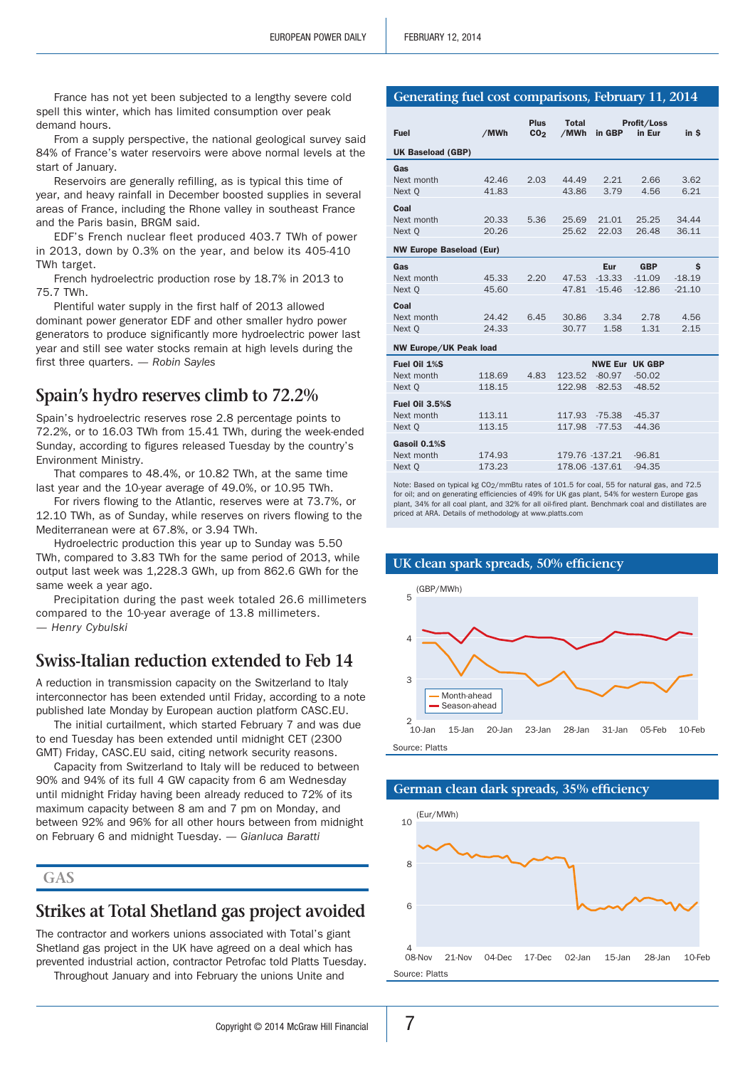France has not yet been subjected to a lengthy severe cold spell this winter, which has limited consumption over peak demand hours.

From a supply perspective, the national geological survey said 84% of France's water reservoirs were above normal levels at the start of January.

Reservoirs are generally refilling, as is typical this time of year, and heavy rainfall in December boosted supplies in several areas of France, including the Rhone valley in southeast France and the Paris basin, BRGM said.

EDF's French nuclear fleet produced 403.7 TWh of power in 2013, down by 0.3% on the year, and below its 405-410 TWh target.

French hydroelectric production rose by 18.7% in 2013 to 75.7 TWh.

Plentiful water supply in the first half of 2013 allowed dominant power generator EDF and other smaller hydro power generators to produce significantly more hydroelectric power last year and still see water stocks remain at high levels during the first three quarters. *— Robin Sayles*

## **Spain's hydro reserves climb to 72.2%**

Spain's hydroelectric reserves rose 2.8 percentage points to 72.2%, or to 16.03 TWh from 15.41 TWh, during the week-ended Sunday, according to figures released Tuesday by the country's Environment Ministry.

That compares to 48.4%, or 10.82 TWh, at the same time last year and the 10-year average of 49.0%, or 10.95 TWh.

For rivers flowing to the Atlantic, reserves were at 73.7%, or 12.10 TWh, as of Sunday, while reserves on rivers flowing to the Mediterranean were at 67.8%, or 3.94 TWh.

Hydroelectric production this year up to Sunday was 5.50 TWh, compared to 3.83 TWh for the same period of 2013, while output last week was 1,228.3 GWh, up from 862.6 GWh for the same week a year ago.

Precipitation during the past week totaled 26.6 millimeters compared to the 10-year average of 13.8 millimeters. *— Henry Cybulski*

## **Swiss-Italian reduction extended to Feb 14**

A reduction in transmission capacity on the Switzerland to Italy interconnector has been extended until Friday, according to a note published late Monday by European auction platform CASC.EU.

The initial curtailment, which started February 7 and was due to end Tuesday has been extended until midnight CET (2300 GMT) Friday, CASC.EU said, citing network security reasons.

Capacity from Switzerland to Italy will be reduced to between 90% and 94% of its full 4 GW capacity from 6 am Wednesday until midnight Friday having been already reduced to 72% of its maximum capacity between 8 am and 7 pm on Monday, and between 92% and 96% for all other hours between from midnight on February 6 and midnight Tuesday. *— Gianluca Baratti*

```
Gas
```
## **Strikes at Total Shetland gas project avoided**

The contractor and workers unions associated with Total's giant Shetland gas project in the UK have agreed on a deal which has prevented industrial action, contractor Petrofac told Platts Tuesday.

Throughout January and into February the unions Unite and

#### **Generating fuel cost comparisons, February 11, 2014**

| <b>Fuel</b>                     | /MWh   | <b>Plus</b><br>CO <sub>2</sub> | <b>Total</b><br>/MWh | in GBP                | Profit/Loss<br>in Eur | in \$    |
|---------------------------------|--------|--------------------------------|----------------------|-----------------------|-----------------------|----------|
|                                 |        |                                |                      |                       |                       |          |
| <b>UK Baseload (GBP)</b>        |        |                                |                      |                       |                       |          |
| Gas                             |        |                                |                      |                       |                       |          |
| Next month                      | 42.46  | 2.03                           | 44.49                | 2.21                  | 2.66                  | 3.62     |
| Next Q                          | 41.83  |                                | 43.86                | 3.79                  | 4.56                  | 6.21     |
| Coal                            |        |                                |                      |                       |                       |          |
| Next month                      | 20.33  | 5.36                           | 25.69                | 21.01                 | 25.25                 | 34.44    |
| Next Q                          | 20.26  |                                | 25.62                | 22.03                 | 26.48                 | 36.11    |
| <b>NW Europe Baseload (Eur)</b> |        |                                |                      |                       |                       |          |
| Gas                             |        |                                |                      | Eur                   | <b>GBP</b>            | Ś        |
| Next month                      | 45.33  | 2.20                           | 47.53                | $-13.33$              | $-11.09$              | $-18.19$ |
| Next Q                          | 45.60  |                                | 47.81                | $-15.46$              | $-12.86$              | $-21.10$ |
|                                 |        |                                |                      |                       |                       |          |
| Coal                            |        |                                |                      |                       |                       |          |
| Next month                      | 24.42  | 6.45                           | 30.86                | 3.34                  | 2.78                  | 4.56     |
| Next Q                          | 24.33  |                                | 30.77                | 1.58                  | 1.31                  | 2.15     |
| <b>NW Europe/UK Peak load</b>   |        |                                |                      |                       |                       |          |
| Fuel Oil 1%S                    |        |                                |                      | <b>NWE Eur UK GBP</b> |                       |          |
| Next month                      | 118.69 | 4.83                           | 123.52               | $-80.97$              | $-50.02$              |          |
| Next Q                          | 118.15 |                                | 122.98               | $-82.53$              | $-48.52$              |          |
| <b>Fuel Oil 3.5%S</b>           |        |                                |                      |                       |                       |          |
| Next month                      | 113.11 |                                | 117.93               | $-75.38$              | $-45.37$              |          |
| Next Q                          | 113.15 |                                | 117.98               | $-77.53$              | $-44.36$              |          |
| Gasoil 0.1%S                    |        |                                |                      |                       |                       |          |
| Next month                      | 174.93 |                                | 179.76 -137.21       |                       | $-96.81$              |          |
| Next Q                          | 173.23 |                                | 178.06 -137.61       |                       | $-94.35$              |          |

Note: Based on typical kg CO<sub>2</sub>/mmBtu rates of 101.5 for coal, 55 for natural gas, and 72.5 for oil; and on generating efficiencies of 49% for UK gas plant, 54% for western Europe gas plant, 34% for all coal plant, and 32% for all oil-fired plant. Benchmark coal and distillates are priced at ARA. Details of methodology at www.platts.com



**German clean dark spreads, 35% efficiency**

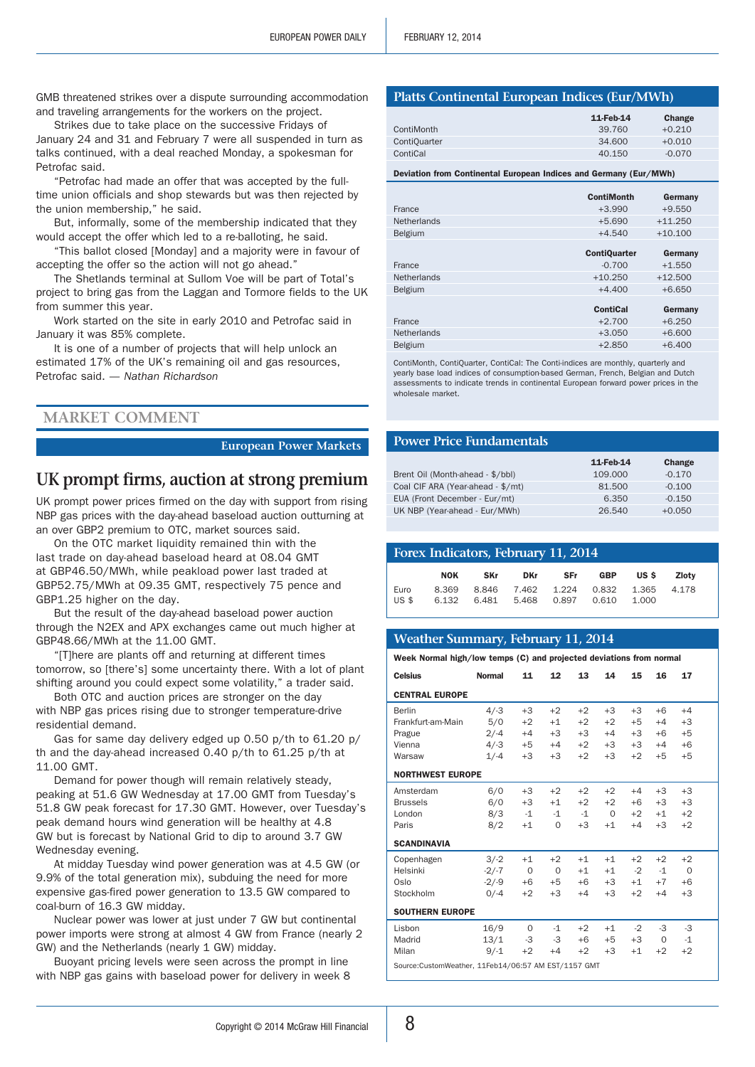GMB threatened strikes over a dispute surrounding accommodation and traveling arrangements for the workers on the project.

Strikes due to take place on the successive Fridays of January 24 and 31 and February 7 were all suspended in turn as talks continued, with a deal reached Monday, a spokesman for Petrofac said.

"Petrofac had made an offer that was accepted by the fulltime union officials and shop stewards but was then rejected by the union membership," he said.

But, informally, some of the membership indicated that they would accept the offer which led to a re-balloting, he said.

"This ballot closed [Monday] and a majority were in favour of accepting the offer so the action will not go ahead."

The Shetlands terminal at Sullom Voe will be part of Total's project to bring gas from the Laggan and Tormore fields to the UK from summer this year.

Work started on the site in early 2010 and Petrofac said in January it was 85% complete.

It is one of a number of projects that will help unlock an estimated 17% of the UK's remaining oil and gas resources, Petrofac said. *— Nathan Richardson*

#### **Market Comment**

#### **European Power Markets**

## **UK prompt firms, auction at strong premium**

UK prompt power prices firmed on the day with support from rising NBP gas prices with the day-ahead baseload auction outturning at an over GBP2 premium to OTC, market sources said.

On the OTC market liquidity remained thin with the last trade on day-ahead baseload heard at 08.04 GMT at GBP46.50/MWh, while peakload power last traded at GBP52.75/MWh at 09.35 GMT, respectively 75 pence and GBP1.25 higher on the day.

But the result of the day-ahead baseload power auction through the N2EX and APX exchanges came out much higher at GBP48.66/MWh at the 11.00 GMT.

"[T]here are plants off and returning at different times tomorrow, so [there's] some uncertainty there. With a lot of plant shifting around you could expect some volatility," a trader said.

Both OTC and auction prices are stronger on the day with NBP gas prices rising due to stronger temperature-drive residential demand.

Gas for same day delivery edged up 0.50 p/th to 61.20 p/ th and the day-ahead increased 0.40 p/th to 61.25 p/th at 11.00 GMT.

Demand for power though will remain relatively steady, peaking at 51.6 GW Wednesday at 17.00 GMT from Tuesday's 51.8 GW peak forecast for 17.30 GMT. However, over Tuesday's peak demand hours wind generation will be healthy at 4.8 GW but is forecast by National Grid to dip to around 3.7 GW Wednesday evening.

At midday Tuesday wind power generation was at 4.5 GW (or 9.9% of the total generation mix), subduing the need for more expensive gas-fired power generation to 13.5 GW compared to coal-burn of 16.3 GW midday.

Nuclear power was lower at just under 7 GW but continental power imports were strong at almost 4 GW from France (nearly 2 GW) and the Netherlands (nearly 1 GW) midday.

Buoyant pricing levels were seen across the prompt in line with NBP gas gains with baseload power for delivery in week 8

#### **Platts Continental European Indices (Eur/MWh)**

|                     | 11-Feb-14 | Change   |
|---------------------|-----------|----------|
| ContiMonth          | 39.760    | $+0.210$ |
| <b>ContiOuarter</b> | 34,600    | $+0.010$ |
| ContiCal            | 40.150    | $-0.070$ |

Deviation from Continental European Indices and Germany (Eur/MWh)

|                    | <b>ContiMonth</b>   | Germany   |
|--------------------|---------------------|-----------|
| France             | $+3.990$            | $+9.550$  |
| <b>Netherlands</b> | $+5.690$            | $+11.250$ |
| <b>Belgium</b>     | $+4.540$            | $+10.100$ |
|                    | <b>ContiQuarter</b> | Germany   |
| France             | $-0.700$            | $+1.550$  |
| <b>Netherlands</b> | $+10.250$           | $+12.500$ |
| <b>Belgium</b>     | $+4.400$            | $+6.650$  |
|                    | <b>ContiCal</b>     | Germany   |
| France             | $+2.700$            | $+6.250$  |
| <b>Netherlands</b> | $+3.050$            | $+6.600$  |
| <b>Belgium</b>     | $+2.850$            | $+6.400$  |

ContiMonth, ContiQuarter, ContiCal: The Conti-indices are monthly, quarterly and yearly base load indices of consumption-based German, French, Belgian and Dutch assessments to indicate trends in continental European forward power prices in the wholesale market.

#### **Power Price Fundamentals**

|                                   | 11-Feb-14 | Change   |  |
|-----------------------------------|-----------|----------|--|
| Brent Oil (Month-ahead - \$/bbl)  | 109,000   | $-0.170$ |  |
| Coal CIF ARA (Year-ahead - \$/mt) | 81.500    | $-0.100$ |  |
| EUA (Front December - Eur/mt)     | 6.350     | $-0.150$ |  |
| UK NBP (Year-ahead - Eur/MWh)     | 26.540    | $+0.050$ |  |
|                                   |           |          |  |

## **Forex Indicators, February 11, 2014**

|      | NOK | <b>SKr</b> | DKr SFr |                                                                                        | GBP USS Zlotv |  |
|------|-----|------------|---------|----------------------------------------------------------------------------------------|---------------|--|
| Euro |     |            |         | 8.369 8.846 7.462 1.224 0.832 1.365 4.178<br>US \$ 6.132 6.481 5.468 0.897 0.610 1.000 |               |  |

#### **Weather Summary, February 11, 2014**

Week Normal high/low temps (C) and projected deviations from normal

| <b>Celsius</b>                                      | <b>Normal</b> | 11       | 12          | 13   | 14       | 15   | 16   | 17       |  |
|-----------------------------------------------------|---------------|----------|-------------|------|----------|------|------|----------|--|
| <b>CENTRAL EUROPE</b>                               |               |          |             |      |          |      |      |          |  |
| Berlin                                              | $4/-3$        | $+3$     | $+2$        | $+2$ | $+3$     | $+3$ | $+6$ | $+4$     |  |
| Frankfurt-am-Main                                   | 5/0           | $+2$     | $+1$        | $+2$ | $+2$     | $+5$ | $+4$ | $+3$     |  |
| Prague                                              | $2/-4$        | $+4$     | $+3$        | $+3$ | $+4$     | $+3$ | $+6$ | $+5$     |  |
| Vienna                                              | $4/-3$        | $+5$     | $+4$        | $+2$ | $+3$     | $+3$ | $+4$ | $+6$     |  |
| Warsaw                                              | $1/-4$        | $+3$     | $+3$        | $+2$ | $+3$     | $+2$ | $+5$ | $+5$     |  |
| <b>NORTHWEST EUROPE</b>                             |               |          |             |      |          |      |      |          |  |
| Amsterdam                                           | 6/0           | $+3$     | $+2$        | $+2$ | $+2$     | $+4$ | $+3$ | $+3$     |  |
| <b>Brussels</b>                                     | 6/0           | $+3$     | $+1$        | $+2$ | $+2$     | $+6$ | $+3$ | $+3$     |  |
| London                                              | 8/3           | $-1$     | $-1$        | $-1$ | $\Omega$ | $+2$ | $+1$ | $+2$     |  |
| Paris                                               | 8/2           | $+1$     | $\Omega$    | $+3$ | $+1$     | $+4$ | $+3$ | $+2$     |  |
| <b>SCANDINAVIA</b>                                  |               |          |             |      |          |      |      |          |  |
| Copenhagen                                          | $3/-2$        | $+1$     | $+2$        | $+1$ | $+1$     | $+2$ | $+2$ | $+2$     |  |
| Helsinki                                            | $-2/-7$       | $\Omega$ | $\mathbf 0$ | $+1$ | $+1$     | $-2$ | $-1$ | $\Omega$ |  |
| Oslo                                                | $-2/-9$       | $+6$     | $+5$        | $+6$ | $+3$     | $+1$ | $+7$ | $+6$     |  |
| Stockholm                                           | $0/-4$        | $+2$     | $+3$        | $+4$ | $+3$     | $+2$ | $+4$ | $+3$     |  |
| <b>SOUTHERN EUROPE</b>                              |               |          |             |      |          |      |      |          |  |
| Lisbon                                              | 16/9          | 0        | $-1$        | $+2$ | $+1$     | $-2$ | -3   | $-3$     |  |
| Madrid                                              | 13/1          | -3       | -3          | $+6$ | $+5$     | $+3$ | 0    | $-1$     |  |
| Milan                                               | $9/-1$        | $+2$     | $+4$        | $+2$ | $+3$     | $+1$ | $+2$ | $+2$     |  |
| Source:CustomWeather, 11Feb14/06:57 AM EST/1157 GMT |               |          |             |      |          |      |      |          |  |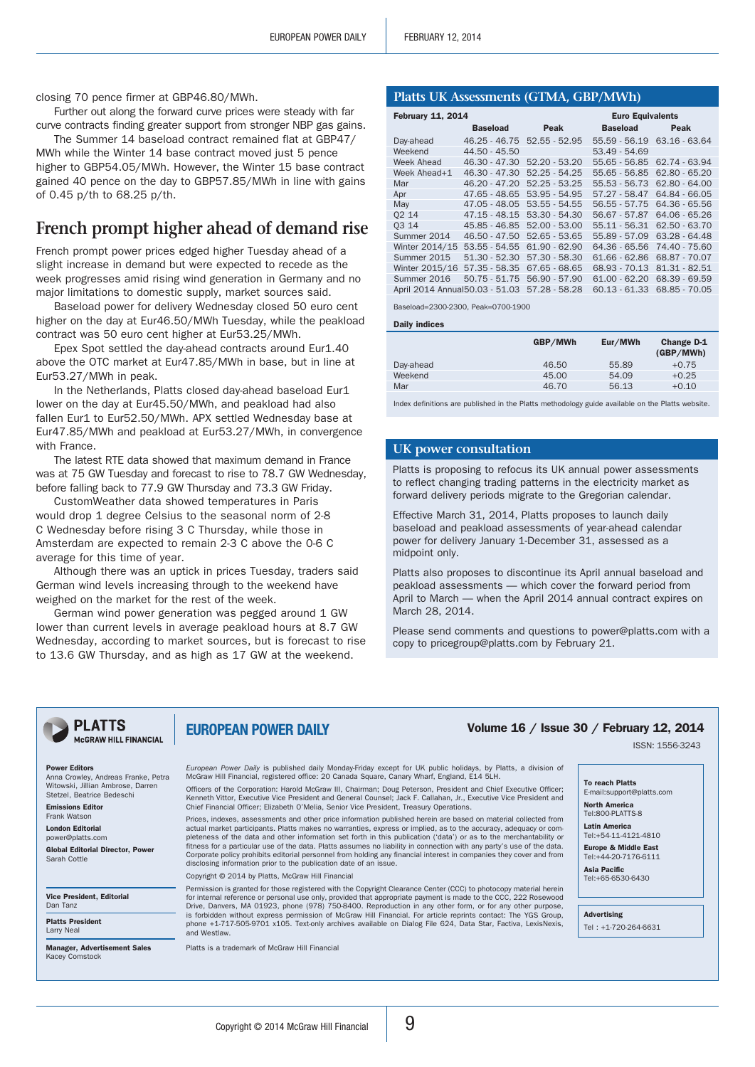closing 70 pence firmer at GBP46.80/MWh.

Further out along the forward curve prices were steady with far curve contracts finding greater support from stronger NBP gas gains.

The Summer 14 baseload contract remained flat at GBP47/ MWh while the Winter 14 base contract moved just 5 pence higher to GBP54.05/MWh. However, the Winter 15 base contract gained 40 pence on the day to GBP57.85/MWh in line with gains of 0.45 p/th to 68.25 p/th.

## **French prompt higher ahead of demand rise**

French prompt power prices edged higher Tuesday ahead of a slight increase in demand but were expected to recede as the week progresses amid rising wind generation in Germany and no major limitations to domestic supply, market sources said.

Baseload power for delivery Wednesday closed 50 euro cent higher on the day at Eur46.50/MWh Tuesday, while the peakload contract was 50 euro cent higher at Eur53.25/MWh.

Epex Spot settled the day-ahead contracts around Eur1.40 above the OTC market at Eur47.85/MWh in base, but in line at Eur53.27/MWh in peak.

In the Netherlands, Platts closed day-ahead baseload Eur1 lower on the day at Eur45.50/MWh, and peakload had also fallen Eur1 to Eur52.50/MWh. APX settled Wednesday base at Eur47.85/MWh and peakload at Eur53.27/MWh, in convergence with France

The latest RTE data showed that maximum demand in France was at 75 GW Tuesday and forecast to rise to 78.7 GW Wednesday, before falling back to 77.9 GW Thursday and 73.3 GW Friday.

CustomWeather data showed temperatures in Paris would drop 1 degree Celsius to the seasonal norm of 2-8 C Wednesday before rising 3 C Thursday, while those in Amsterdam are expected to remain 2-3 C above the 0-6 C average for this time of year.

Although there was an uptick in prices Tuesday, traders said German wind levels increasing through to the weekend have weighed on the market for the rest of the week.

German wind power generation was pegged around 1 GW lower than current levels in average peakload hours at 8.7 GW Wednesday, according to market sources, but is forecast to rise to 13.6 GW Thursday, and as high as 17 GW at the weekend.

**Platts UK Assessments (GTMA, GBP/MWh)**

| <b>February 11, 2014</b>        |                 |                 | <b>Euro Equivalents</b> |                 |
|---------------------------------|-----------------|-----------------|-------------------------|-----------------|
|                                 | <b>Baseload</b> | Peak            | <b>Baseload</b>         | Peak            |
| Day-ahead                       | $46.25 - 46.75$ | $52.55 - 52.95$ | $55.59 - 56.19$         | $63.16 - 63.64$ |
| Weekend                         | 44.50 - 45.50   |                 | 53.49 - 54.69           |                 |
| <b>Week Ahead</b>               | 46.30 - 47.30   | $52.20 - 53.20$ | 55.65 - 56.85           | 62.74 - 63.94   |
| Week Ahead+1                    | $46.30 - 47.30$ | $52.25 - 54.25$ | $55.65 - 56.85$         | $62.80 - 65.20$ |
| Mar                             | $46.20 - 47.20$ | $52.25 - 53.25$ | 55.53 - 56.73           | $62.80 - 64.00$ |
| Apr                             | 47.65 - 48.65   | $53.95 - 54.95$ | 57.27 - 58.47           | 64.84 - 66.05   |
| May                             | $47.05 - 48.05$ | $53.55 - 54.55$ | $56.55 - 57.75$         | $64.36 - 65.56$ |
| 02 14                           | $47.15 - 48.15$ | $53.30 - 54.30$ | 56.67 - 57.87           | $64.06 - 65.26$ |
| 03 14                           | 45.85 - 46.85   | $52.00 - 53.00$ | $55.11 - 56.31$         | $62.50 - 63.70$ |
| Summer 2014                     | $46.50 - 47.50$ | $52.65 - 53.65$ | 55.89 - 57.09           | $63.28 - 64.48$ |
| Winter 2014/15                  | $53.55 - 54.55$ | $61.90 - 62.90$ | $64.36 - 65.56$         | 74.40 - 75.60   |
| Summer 2015                     | $51.30 - 52.30$ | 57.30 - 58.30   | $61.66 - 62.86$         | 68.87 - 70.07   |
| Winter 2015/16                  | $57.35 - 58.35$ | $67.65 - 68.65$ | 68.93 - 70.13           | 81.31 - 82.51   |
| Summer 2016                     | $50.75 - 51.75$ | 56.90 - 57.90   | $61.00 - 62.20$         | 68.39 - 69.59   |
| April 2014 Annual 50.03 - 51.03 |                 | 57.28 - 58.28   | $60.13 - 61.33$         | 68.85 - 70.05   |

Baseload=2300-2300, Peak=0700-1900

Daily indices

|           | GBP/MWh | Eur/MWh | Change D-1<br>(GBP/MWh) |
|-----------|---------|---------|-------------------------|
| Day-ahead | 46.50   | 55.89   | $+0.75$                 |
| Weekend   | 45.00   | 54.09   | $+0.25$                 |
| Mar       | 46.70   | 56.13   | $+0.10$                 |

Index definitions are published in the Platts methodology guide available on the Platts website.

#### **UK power consultation**

Platts is proposing to refocus its UK annual power assessments to reflect changing trading patterns in the electricity market as forward delivery periods migrate to the Gregorian calendar.

Effective March 31, 2014, Platts proposes to launch daily baseload and peakload assessments of year-ahead calendar power for delivery January 1-December 31, assessed as a midpoint only.

Platts also proposes to discontinue its April annual baseload and peakload assessments — which cover the forward period from April to March — when the April 2014 annual contract expires on March 28, 2014.

Please send comments and questions to power@platts.com with a copy to pricegroup@platts.com by February 21.

#### **PLATTS** McGRAW HILL FINANCIAL

## EUROPEAN POWER DAILY

#### Power Editors

Anna Crowley, Andreas Franke, Petra Witowski, Jillian Ambrose, Darren Stetzel, Beatrice Bedeschi Emissions Editor Frank Watson

London Editoria power@platts.com Global Editorial Director, Power Sarah Cottle

Vice President, Editorial Dan Tanz

Platts President Larry Neal

Manager, Advertisement Sales Kacey Comstock

*European Power Daily* is published daily Monday-Friday except for UK public holidays, by Platts, a division of McGraw Hill Financial, registered office: 20 Canada Square, Canary Wharf, England, E14 5LH.

Officers of the Corporation: Harold McGraw III, Chairman; Doug Peterson, President and Chief Executive Officer; Kenneth Vittor, Executive Vice President and General Counsel; Jack F. Callahan, Jr., Executive Vice President and Chief Financial Officer; Elizabeth O'Melia, Senior Vice President, Treasury Operations.

Prices, indexes, assessments and other price information published herein are based on material collected from actual market participants. Platts makes no warranties, express or implied, as to the accuracy, adequacy or completeness of the data and other information set forth in this publication ('data') or as to the merchantability or<br>fitness for a particular use of the data. Platts assumes no liability in connection with any party's use of Corporate policy prohibits editorial personnel from holding any financial interest in companies they cover and from disclosing information prior to the publication date of an issue.

Copyright © 2014 by Platts, McGraw Hill Financial

Permission is granted for those registered with the Copyright Clearance Center (CCC) to photocopy m for internal reference or personal use only, provided that appropriate payment is made to the CCC, 222 Rosewood Drive, Danvers, MA 01923, phone (978) 750-8400. Reproduction in any other form, or for any other purpose, is forbidden without express permission of McGraw Hill Financial. For article reprints contact: The YGS Group, phone +1-717-505-9701 x105. Text-only archives available on Dialog File 624, Data Star, Factiva, LexisNexis, and Westlaw.

Platts is a trademark of McGraw Hill Financial

## Volume 16 / Issue 30 / February 12, 2014

ISSN: 1556-3243

#### To reach Platts

E-mail:support@platts.com North America Tel:800-PLATTS-8

Latin America Tel:+54-11-4121-4810

Europe & Middle East

Tel:+44-20-7176-6111 Asia Pacific Tel:+65-6530-6430

Advertising

Tel : +1-720-264-6631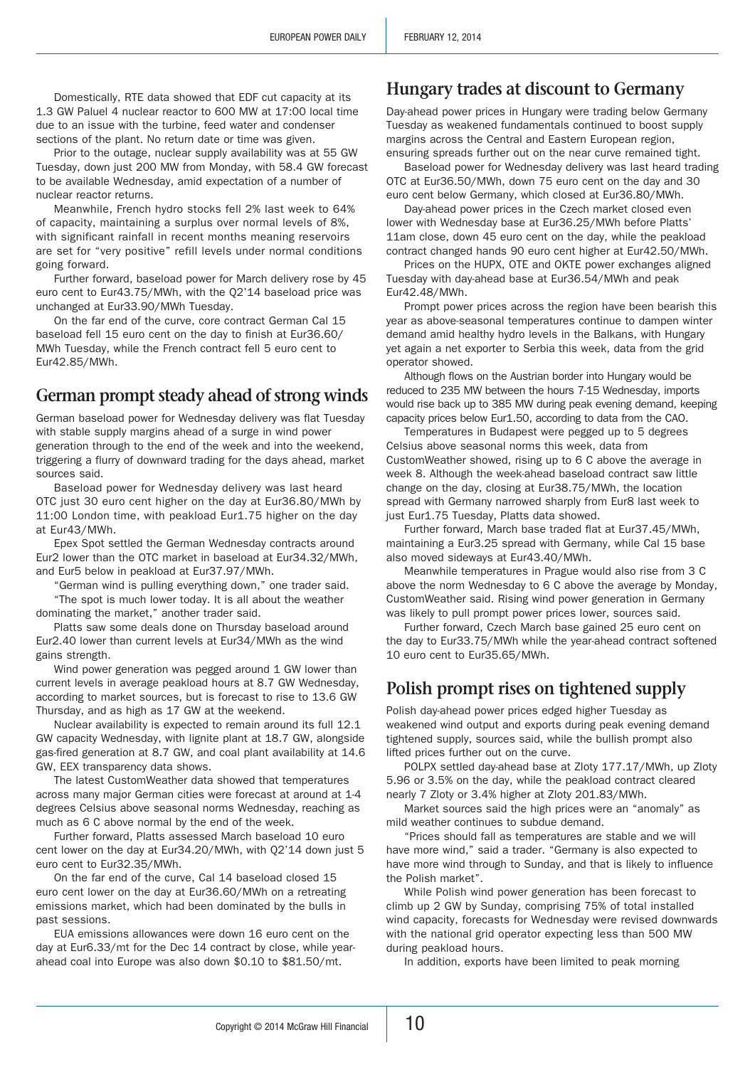Domestically, RTE data showed that EDF cut capacity at its 1.3 GW Paluel 4 nuclear reactor to 600 MW at 17:00 local time due to an issue with the turbine, feed water and condenser sections of the plant. No return date or time was given.

Prior to the outage, nuclear supply availability was at 55 GW Tuesday, down just 200 MW from Monday, with 58.4 GW forecast to be available Wednesday, amid expectation of a number of nuclear reactor returns.

Meanwhile, French hydro stocks fell 2% last week to 64% of capacity, maintaining a surplus over normal levels of 8%, with significant rainfall in recent months meaning reservoirs are set for "very positive" refill levels under normal conditions going forward.

Further forward, baseload power for March delivery rose by 45 euro cent to Eur43.75/MWh, with the Q2'14 baseload price was unchanged at Eur33.90/MWh Tuesday.

On the far end of the curve, core contract German Cal 15 baseload fell 15 euro cent on the day to finish at Eur36.60/ MWh Tuesday, while the French contract fell 5 euro cent to Eur42.85/MWh.

## **German prompt steady ahead of strong winds**

German baseload power for Wednesday delivery was flat Tuesday with stable supply margins ahead of a surge in wind power generation through to the end of the week and into the weekend, triggering a flurry of downward trading for the days ahead, market sources said.

Baseload power for Wednesday delivery was last heard OTC just 30 euro cent higher on the day at Eur36.80/MWh by 11:00 London time, with peakload Eur1.75 higher on the day at Eur43/MWh.

Epex Spot settled the German Wednesday contracts around Eur2 lower than the OTC market in baseload at Eur34.32/MWh, and Eur5 below in peakload at Eur37.97/MWh.

"German wind is pulling everything down," one trader said. "The spot is much lower today. It is all about the weather

dominating the market," another trader said. Platts saw some deals done on Thursday baseload around

Eur2.40 lower than current levels at Eur34/MWh as the wind gains strength.

Wind power generation was pegged around 1 GW lower than current levels in average peakload hours at 8.7 GW Wednesday, according to market sources, but is forecast to rise to 13.6 GW Thursday, and as high as 17 GW at the weekend.

Nuclear availability is expected to remain around its full 12.1 GW capacity Wednesday, with lignite plant at 18.7 GW, alongside gas-fired generation at 8.7 GW, and coal plant availability at 14.6 GW, EEX transparency data shows.

The latest CustomWeather data showed that temperatures across many major German cities were forecast at around at 1-4 degrees Celsius above seasonal norms Wednesday, reaching as much as 6 C above normal by the end of the week.

Further forward, Platts assessed March baseload 10 euro cent lower on the day at Eur34.20/MWh, with Q2'14 down just 5 euro cent to Eur32.35/MWh.

On the far end of the curve, Cal 14 baseload closed 15 euro cent lower on the day at Eur36.60/MWh on a retreating emissions market, which had been dominated by the bulls in past sessions.

EUA emissions allowances were down 16 euro cent on the day at Eur6.33/mt for the Dec 14 contract by close, while yearahead coal into Europe was also down \$0.10 to \$81.50/mt.

## **Hungary trades at discount to Germany**

Day-ahead power prices in Hungary were trading below Germany Tuesday as weakened fundamentals continued to boost supply margins across the Central and Eastern European region, ensuring spreads further out on the near curve remained tight.

Baseload power for Wednesday delivery was last heard trading OTC at Eur36.50/MWh, down 75 euro cent on the day and 30 euro cent below Germany, which closed at Eur36.80/MWh.

Day-ahead power prices in the Czech market closed even lower with Wednesday base at Eur36.25/MWh before Platts' 11am close, down 45 euro cent on the day, while the peakload contract changed hands 90 euro cent higher at Eur42.50/MWh.

Prices on the HUPX, OTE and OKTE power exchanges aligned Tuesday with day-ahead base at Eur36.54/MWh and peak Eur42.48/MWh.

Prompt power prices across the region have been bearish this year as above-seasonal temperatures continue to dampen winter demand amid healthy hydro levels in the Balkans, with Hungary yet again a net exporter to Serbia this week, data from the grid operator showed.

Although flows on the Austrian border into Hungary would be reduced to 235 MW between the hours 7-15 Wednesday, imports would rise back up to 385 MW during peak evening demand, keeping capacity prices below Eur1.50, according to data from the CAO.

Temperatures in Budapest were pegged up to 5 degrees Celsius above seasonal norms this week, data from CustomWeather showed, rising up to 6 C above the average in week 8. Although the week-ahead baseload contract saw little change on the day, closing at Eur38.75/MWh, the location spread with Germany narrowed sharply from Eur8 last week to just Eur1.75 Tuesday, Platts data showed.

Further forward, March base traded flat at Eur37.45/MWh, maintaining a Eur3.25 spread with Germany, while Cal 15 base also moved sideways at Eur43.40/MWh.

Meanwhile temperatures in Prague would also rise from 3 C above the norm Wednesday to 6 C above the average by Monday, CustomWeather said. Rising wind power generation in Germany was likely to pull prompt power prices lower, sources said.

Further forward, Czech March base gained 25 euro cent on the day to Eur33.75/MWh while the year-ahead contract softened 10 euro cent to Eur35.65/MWh.

## **Polish prompt rises on tightened supply**

Polish day-ahead power prices edged higher Tuesday as weakened wind output and exports during peak evening demand tightened supply, sources said, while the bullish prompt also lifted prices further out on the curve.

POLPX settled day-ahead base at Zloty 177.17/MWh, up Zloty 5.96 or 3.5% on the day, while the peakload contract cleared nearly 7 Zloty or 3.4% higher at Zloty 201.83/MWh.

Market sources said the high prices were an "anomaly" as mild weather continues to subdue demand.

"Prices should fall as temperatures are stable and we will have more wind," said a trader. "Germany is also expected to have more wind through to Sunday, and that is likely to influence the Polish market".

While Polish wind power generation has been forecast to climb up 2 GW by Sunday, comprising 75% of total installed wind capacity, forecasts for Wednesday were revised downwards with the national grid operator expecting less than 500 MW during peakload hours.

In addition, exports have been limited to peak morning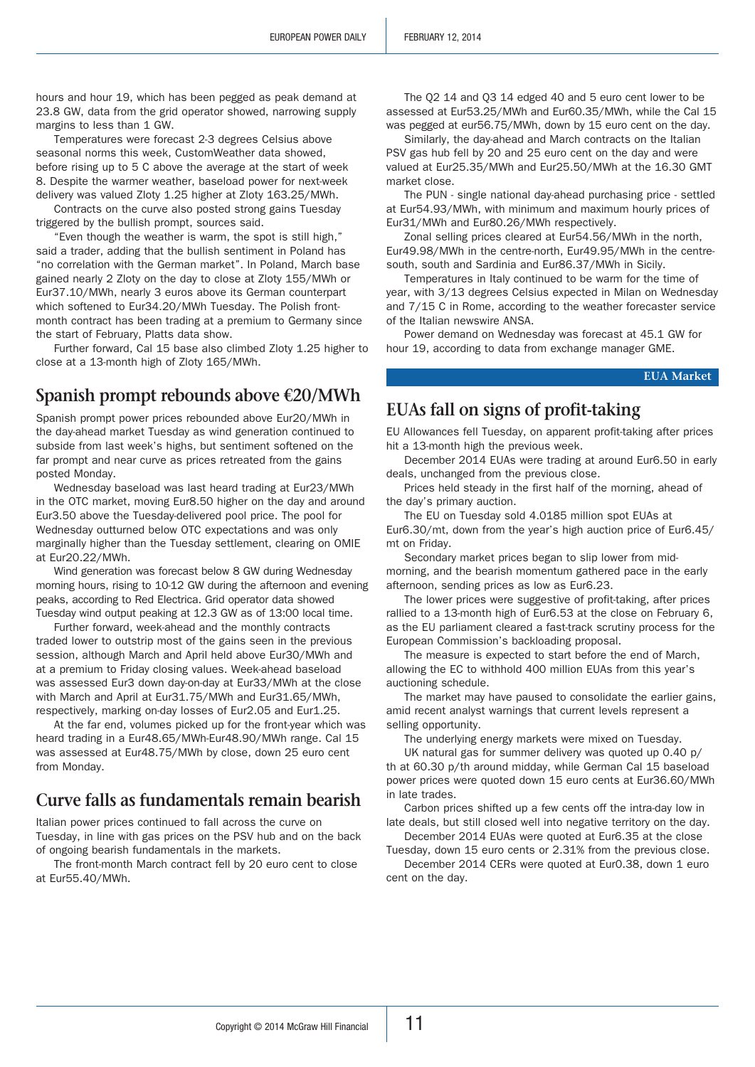hours and hour 19, which has been pegged as peak demand at 23.8 GW, data from the grid operator showed, narrowing supply margins to less than 1 GW.

Temperatures were forecast 2-3 degrees Celsius above seasonal norms this week, CustomWeather data showed, before rising up to 5 C above the average at the start of week 8. Despite the warmer weather, baseload power for next-week delivery was valued Zloty 1.25 higher at Zloty 163.25/MWh.

Contracts on the curve also posted strong gains Tuesday triggered by the bullish prompt, sources said.

"Even though the weather is warm, the spot is still high," said a trader, adding that the bullish sentiment in Poland has "no correlation with the German market". In Poland, March base gained nearly 2 Zloty on the day to close at Zloty 155/MWh or Eur37.10/MWh, nearly 3 euros above its German counterpart which softened to Eur34.20/MWh Tuesday. The Polish frontmonth contract has been trading at a premium to Germany since the start of February, Platts data show.

Further forward, Cal 15 base also climbed Zloty 1.25 higher to close at a 13-month high of Zloty 165/MWh.

## **Spanish prompt rebounds above €20/MWh**

Spanish prompt power prices rebounded above Eur20/MWh in the day-ahead market Tuesday as wind generation continued to subside from last week's highs, but sentiment softened on the far prompt and near curve as prices retreated from the gains posted Monday.

Wednesday baseload was last heard trading at Eur23/MWh in the OTC market, moving Eur8.50 higher on the day and around Eur3.50 above the Tuesday-delivered pool price. The pool for Wednesday outturned below OTC expectations and was only marginally higher than the Tuesday settlement, clearing on OMIE at Eur20.22/MWh.

Wind generation was forecast below 8 GW during Wednesday morning hours, rising to 10-12 GW during the afternoon and evening peaks, according to Red Electrica. Grid operator data showed Tuesday wind output peaking at 12.3 GW as of 13:00 local time.

Further forward, week-ahead and the monthly contracts traded lower to outstrip most of the gains seen in the previous session, although March and April held above Eur30/MWh and at a premium to Friday closing values. Week-ahead baseload was assessed Eur3 down day-on-day at Eur33/MWh at the close with March and April at Eur31.75/MWh and Eur31.65/MWh, respectively, marking on-day losses of Eur2.05 and Eur1.25.

At the far end, volumes picked up for the front-year which was heard trading in a Eur48.65/MWh-Eur48.90/MWh range. Cal 15 was assessed at Eur48.75/MWh by close, down 25 euro cent from Monday.

## **Curve falls as fundamentals remain bearish**

Italian power prices continued to fall across the curve on Tuesday, in line with gas prices on the PSV hub and on the back of ongoing bearish fundamentals in the markets.

The front-month March contract fell by 20 euro cent to close at Eur55.40/MWh.

The Q2 14 and Q3 14 edged 40 and 5 euro cent lower to be assessed at Eur53.25/MWh and Eur60.35/MWh, while the Cal 15 was pegged at eur56.75/MWh, down by 15 euro cent on the day.

Similarly, the day-ahead and March contracts on the Italian PSV gas hub fell by 20 and 25 euro cent on the day and were valued at Eur25.35/MWh and Eur25.50/MWh at the 16.30 GMT market close.

The PUN - single national day-ahead purchasing price - settled at Eur54.93/MWh, with minimum and maximum hourly prices of Eur31/MWh and Eur80.26/MWh respectively.

Zonal selling prices cleared at Eur54.56/MWh in the north, Eur49.98/MWh in the centre-north, Eur49.95/MWh in the centresouth, south and Sardinia and Eur86.37/MWh in Sicily.

Temperatures in Italy continued to be warm for the time of year, with 3/13 degrees Celsius expected in Milan on Wednesday and 7/15 C in Rome, according to the weather forecaster service of the Italian newswire ANSA.

Power demand on Wednesday was forecast at 45.1 GW for hour 19, according to data from exchange manager GME.

**EUA Market**

## **EUAs fall on signs of profit-taking**

EU Allowances fell Tuesday, on apparent profit-taking after prices hit a 13-month high the previous week.

December 2014 EUAs were trading at around Eur6.50 in early deals, unchanged from the previous close.

Prices held steady in the first half of the morning, ahead of the day's primary auction.

The EU on Tuesday sold 4.0185 million spot EUAs at Eur6.30/mt, down from the year's high auction price of Eur6.45/ mt on Friday.

Secondary market prices began to slip lower from midmorning, and the bearish momentum gathered pace in the early afternoon, sending prices as low as Eur6.23.

The lower prices were suggestive of profit-taking, after prices rallied to a 13-month high of Eur6.53 at the close on February 6, as the EU parliament cleared a fast-track scrutiny process for the European Commission's backloading proposal.

The measure is expected to start before the end of March, allowing the EC to withhold 400 million EUAs from this year's auctioning schedule.

The market may have paused to consolidate the earlier gains, amid recent analyst warnings that current levels represent a selling opportunity.

The underlying energy markets were mixed on Tuesday.

UK natural gas for summer delivery was quoted up 0.40 p/ th at 60.30 p/th around midday, while German Cal 15 baseload power prices were quoted down 15 euro cents at Eur36.60/MWh in late trades.

Carbon prices shifted up a few cents off the intra-day low in late deals, but still closed well into negative territory on the day.

December 2014 EUAs were quoted at Eur6.35 at the close Tuesday, down 15 euro cents or 2.31% from the previous close.

December 2014 CERs were quoted at Eur0.38, down 1 euro cent on the day.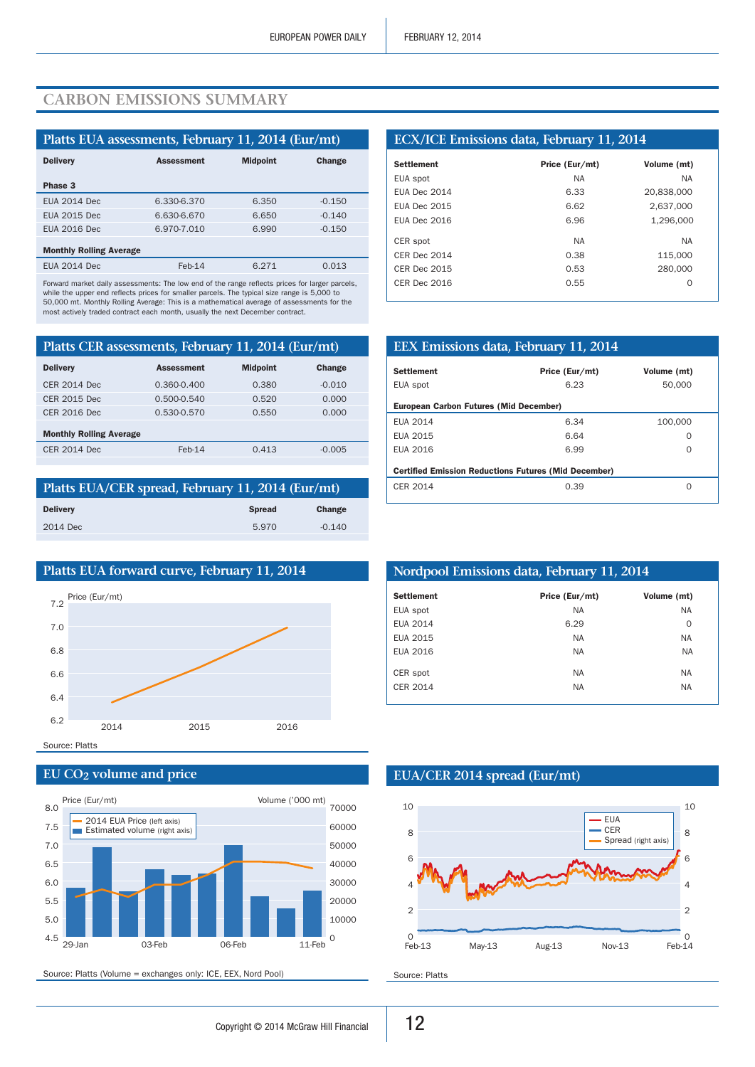## **Carbon emissions summary**

| Platts EUA assessments, February 11, 2014 (Eur/mt) |                   |                 |          |  |  |  |
|----------------------------------------------------|-------------------|-----------------|----------|--|--|--|
| <b>Delivery</b>                                    | <b>Assessment</b> | <b>Midpoint</b> | Change   |  |  |  |
| Phase 3                                            |                   |                 |          |  |  |  |
| <b>EUA 2014 Dec</b>                                | 6.330-6.370       | 6.350           | $-0.150$ |  |  |  |
| <b>EUA 2015 Dec</b>                                | 6.630-6.670       | 6.650           | $-0.140$ |  |  |  |
| <b>EUA 2016 Dec</b>                                | 6.970-7.010       | 6.990           | $-0.150$ |  |  |  |
| <b>Monthly Rolling Average</b>                     |                   |                 |          |  |  |  |
| <b>EUA 2014 Dec</b>                                | $Feb-14$          | 6.271           | 0.013    |  |  |  |

Forward market daily assessments: The low end of the range reflects prices for larger parcels, while the upper end reflects prices for smaller parcels. The typical size range is 5,000 to 50,000 mt. Monthly Rolling Average: This is a mathematical average of assessments for the most actively traded contract each month, usually the next December contract.

| Platts CER assessments, February 11, 2014 (Eur/mt) |                   |                 |          |  |  |
|----------------------------------------------------|-------------------|-----------------|----------|--|--|
| <b>Delivery</b>                                    | <b>Assessment</b> | <b>Midpoint</b> | Change   |  |  |
| <b>CER 2014 Dec</b>                                | $0.360 - 0.400$   | 0.380           | $-0.010$ |  |  |
| CER 2015 Dec                                       | $0.500 - 0.540$   | 0.520           | 0.000    |  |  |
| <b>CER 2016 Dec</b>                                | 0.530-0.570       | 0.550           | 0.000    |  |  |
| <b>Monthly Rolling Average</b>                     |                   |                 |          |  |  |
| <b>CER 2014 Dec</b>                                | $Feb-14$          | 0.413           | $-0.005$ |  |  |

| Platts EUA/CER spread, February 11, 2014 (Eur/mt) |               |          |  |  |
|---------------------------------------------------|---------------|----------|--|--|
| <b>Delivery</b>                                   | <b>Spread</b> | Change   |  |  |
| 2014 Dec                                          | 5.970         | $-0.140$ |  |  |
|                                                   |               |          |  |  |



#### **EU CO2 volume and price**



Source: Platts (Volume = exchanges only: ICE, EEX, Nord Pool)

#### **ECX/ICE Emissions data, February 11, 2014**

| <b>Settlement</b>   | Price (Eur/mt) | Volume (mt) |
|---------------------|----------------|-------------|
| EUA spot            | <b>NA</b>      | <b>NA</b>   |
| <b>EUA Dec 2014</b> | 6.33           | 20,838,000  |
| <b>EUA Dec 2015</b> | 6.62           | 2,637,000   |
| <b>EUA Dec 2016</b> | 6.96           | 1,296,000   |
| CER spot            | <b>NA</b>      | <b>NA</b>   |
| CFR Dec 2014        | 0.38           | 115.000     |
| <b>CER Dec 2015</b> | 0.53           | 280,000     |
| CFR Dec 2016        | 0.55           | O           |
|                     |                |             |

| EEX Emissions data, February 11, 2014                       |                |             |  |  |  |
|-------------------------------------------------------------|----------------|-------------|--|--|--|
| <b>Settlement</b>                                           | Price (Eur/mt) | Volume (mt) |  |  |  |
| EUA spot                                                    | 6.23           | 50,000      |  |  |  |
| <b>European Carbon Futures (Mid December)</b>               |                |             |  |  |  |
| EUA 2014                                                    | 6.34           | 100,000     |  |  |  |
| FUA 2015                                                    | 6.64           | Ω           |  |  |  |
| <b>FUA 2016</b>                                             | 6.99           | Ω           |  |  |  |
| <b>Certified Emission Reductions Futures (Mid December)</b> |                |             |  |  |  |
| CER 2014                                                    | 0.39           | Ω           |  |  |  |

| Nordpool Emissions data, February 11, 2014 |                |             |  |  |
|--------------------------------------------|----------------|-------------|--|--|
| <b>Settlement</b>                          | Price (Eur/mt) | Volume (mt) |  |  |
| EUA spot                                   | <b>NA</b>      | <b>NA</b>   |  |  |
| <b>EUA 2014</b>                            | 6.29           | $\Omega$    |  |  |
| EUA 2015                                   | NA.            | <b>NA</b>   |  |  |
| EUA 2016                                   | NA.            | <b>NA</b>   |  |  |
| CER spot                                   | <b>NA</b>      | <b>NA</b>   |  |  |
| CER 2014                                   | <b>NA</b>      | <b>NA</b>   |  |  |

#### **EUA/CER 2014 spread (Eur/mt)**



Source: Platts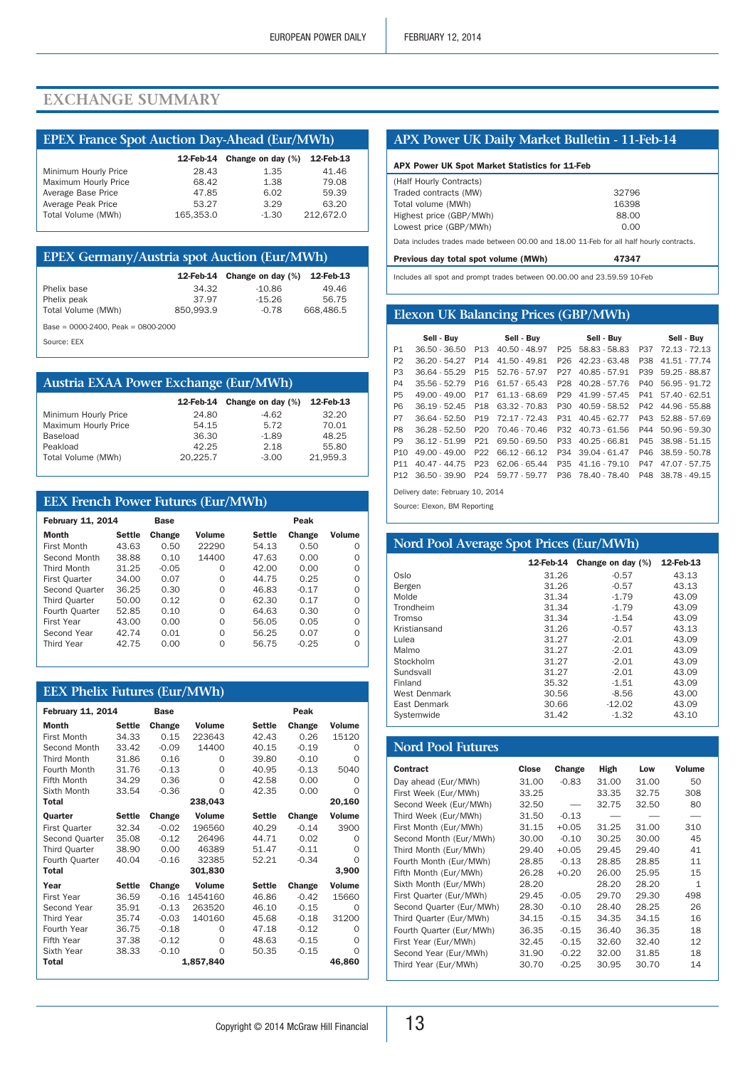## **Exchange summary**

## **EPEX France Spot Auction Day-Ahead (Eur/MWh)**

|                      |           | 12-Feb-14 Change on day (%) | 12-Feb-13 |
|----------------------|-----------|-----------------------------|-----------|
| Minimum Hourly Price | 28.43     | 1.35                        | 41.46     |
| Maximum Hourly Price | 68.42     | 1.38                        | 79.08     |
| Average Base Price   | 47.85     | 6.02                        | 59.39     |
| Average Peak Price   | 53.27     | 3.29                        | 63.20     |
| Total Volume (MWh)   | 165.353.0 | $-1.30$                     | 212.672.0 |

#### **EPEX Germany/Austria spot Auction (Eur/MWh)**

|                                         |           | 12-Feb-14 Change on day (%) | 12-Feb-13 |
|-----------------------------------------|-----------|-----------------------------|-----------|
| Phelix base                             | 34.32     | $-10.86$                    | 49.46     |
| Phelix peak                             | 37.97     | $-15.26$                    | 56.75     |
| Total Volume (MWh)                      | 850.993.9 | $-0.78$                     | 668,486.5 |
| Base = $0000-2400$ , Peak = $0800-2000$ |           |                             |           |

Source: EEX

| <b>Austria EXAA Power Exchange (Eur/MWh)</b> |           |                   |           |  |  |  |  |
|----------------------------------------------|-----------|-------------------|-----------|--|--|--|--|
|                                              | 12-Feb-14 | Change on day (%) | 12-Feb-13 |  |  |  |  |
| Minimum Hourly Price                         | 24.80     | $-4.62$           | 32.20     |  |  |  |  |
| Maximum Hourly Price                         | 54.15     | 5.72              | 70.01     |  |  |  |  |
| Baseload                                     | 36.30     | $-1.89$           | 48.25     |  |  |  |  |
| Peakload                                     | 42.25     | 2.18              | 55.80     |  |  |  |  |
| Total Volume (MWh)                           | 20.225.7  | $-3.00$           | 21.959.3  |  |  |  |  |

## **EEX French Power Futures (Eur/MWh)**

| <b>February 11, 2014</b> |               | <b>Base</b> |          |               | Peak          |               |
|--------------------------|---------------|-------------|----------|---------------|---------------|---------------|
| Month                    | <b>Settle</b> | Change      | Volume   | <b>Settle</b> | <b>Change</b> | <b>Volume</b> |
| First Month              | 43.63         | 0.50        | 22290    | 54.13         | 0.50          | O             |
| Second Month             | 38.88         | 0.10        | 14400    | 47.63         | 0.00          | O             |
| <b>Third Month</b>       | 31.25         | $-0.05$     | Ω        | 42.00         | 0.00          | O             |
| <b>First Quarter</b>     | 34.00         | 0.07        | $\Omega$ | 44.75         | 0.25          | O             |
| Second Ouarter           | 36.25         | 0.30        | $\Omega$ | 46.83         | $-0.17$       | Ω             |
| <b>Third Ouarter</b>     | 50.00         | 0.12        | $\Omega$ | 62.30         | 0.17          | O             |
| Fourth Quarter           | 52.85         | 0.10        | $\Omega$ | 64.63         | 0.30          | O             |
| First Year               | 43.00         | 0.00        | $\Omega$ | 56.05         | 0.05          | O             |
| Second Year              | 42.74         | 0.01        | $\Omega$ | 56.25         | 0.07          | Ω             |
| Third Year               | 42.75         | 0.00        | $\Omega$ | 56.75         | $-0.25$       | O             |

## **EEX Phelix Futures (Eur/MWh)**

| <b>February 11, 2014</b> |               | <b>Base</b> |               | Peak          |         |               |
|--------------------------|---------------|-------------|---------------|---------------|---------|---------------|
| Month                    | <b>Settle</b> | Change      | <b>Volume</b> | <b>Settle</b> | Change  | <b>Volume</b> |
| First Month              | 34.33         | 0.15        | 223643        | 42.43         | 0.26    | 15120         |
| Second Month             | 33.42         | $-0.09$     | 14400         | 40.15         | $-0.19$ | $\Omega$      |
| <b>Third Month</b>       | 31.86         | 0.16        | $\Omega$      | 39.80         | $-0.10$ | $\Omega$      |
| Fourth Month             | 31.76         | $-0.13$     | $\Omega$      | 40.95         | $-0.13$ | 5040          |
| Fifth Month              | 34.29         | 0.36        | $\Omega$      | 42.58         | 0.00    | Ω             |
| Sixth Month              | 33.54         | $-0.36$     | $\Omega$      | 42.35         | 0.00    | $\Omega$      |
| Total                    |               |             | 238,043       |               |         | 20,160        |
| Quarter                  | <b>Settle</b> | Change      | <b>Volume</b> | <b>Settle</b> | Change  | Volume        |
| <b>First Quarter</b>     | 32.34         | $-0.02$     | 196560        | 40.29         | $-0.14$ | 3900          |
| Second Quarter           | 35.08         | $-0.12$     | 26496         | 44.71         | 0.02    | $\Omega$      |
| Third Quarter            | 38.90         | 0.00        | 46389         | 51.47         | $-0.11$ | $\Omega$      |
| Fourth Quarter           | 40.04         | $-0.16$     | 32385         | 52.21         | $-0.34$ | $\Omega$      |
| Total                    |               |             | 301,830       |               |         | 3,900         |
| Year                     | <b>Settle</b> | Change      | <b>Volume</b> | <b>Settle</b> | Change  | Volume        |
| <b>First Year</b>        | 36.59         | $-0.16$     | 1454160       | 46.86         | $-0.42$ | 15660         |
| Second Year              | 35.91         | $-0.13$     | 263520        | 46.10         | $-0.15$ | $\Omega$      |
| <b>Third Year</b>        | 35.74         | $-0.03$     | 140160        | 45.68         | $-0.18$ | 31200         |
| Fourth Year              | 36.75         | $-0.18$     | $\Omega$      | 47.18         | $-0.12$ | Ω             |
| <b>Fifth Year</b>        | 37.38         | $-0.12$     | $\Omega$      | 48.63         | $-0.15$ | $\Omega$      |
| Sixth Year               | 38.33         | $-0.10$     | $\Omega$      | 50.35         | $-0.15$ | $\Omega$      |
| Total                    |               |             | 1,857,840     |               |         | 46,860        |

#### **APX Power UK Daily Market Bulletin - 11-Feb-14**

| APX Power UK Spot Market Statistics for 11-Feb                                          |       |  |  |  |
|-----------------------------------------------------------------------------------------|-------|--|--|--|
| (Half Hourly Contracts)                                                                 |       |  |  |  |
| Traded contracts (MW)                                                                   | 32796 |  |  |  |
| Total volume (MWh)                                                                      | 16398 |  |  |  |
| Highest price (GBP/MWh)                                                                 | 88.00 |  |  |  |
| Lowest price (GBP/MWh)                                                                  | 0.00  |  |  |  |
| Data includes trades made between 00.00 and 18.00 11-Feb for all half hourly contracts. |       |  |  |  |

Previous day total spot volume (MWh) 47347

Includes all spot and prompt trades between 00.00.00 and 23.59.59 10-Feb

## **Elexon UK Balancing Prices (GBP/MWh)**

|                | Sell - Buv      |                 | Sell - Buy      |                 | Sell - Buv      |     | Sell - Buy        |
|----------------|-----------------|-----------------|-----------------|-----------------|-----------------|-----|-------------------|
| P <sub>1</sub> | 36.50 - 36.50   | P <sub>13</sub> | 40.50 - 48.97   | P <sub>25</sub> | 58.83 - 58.83   | P37 | 72.13 72.13       |
| P <sub>2</sub> | 36.20 - 54.27   | P <sub>14</sub> | 41.50 - 49.81   | P <sub>26</sub> | 42.23 - 63.48   | P38 | 41.51 77.74       |
| P <sub>3</sub> | 36.64 - 55.29   | P <sub>15</sub> | 52.76 - 57.97   | P27             | 40.85 - 57.91   | P39 | 59.25 - 88.87     |
| P4             | 35.56 - 52.79   | P <sub>16</sub> | $61.57 - 65.43$ | P <sub>28</sub> | $40.28 - 57.76$ | P40 | 56.95 - 91.72     |
| <b>P5</b>      | $49.00 - 49.00$ | P17             | 61.13 - 68.69   | P <sub>29</sub> | 41.99 - 57.45   |     | P41 57.40 - 62.51 |
| <b>P6</b>      | 36.19 - 52.45   | P <sub>18</sub> | 63.32 70.83     | P30             | $40.59 - 58.52$ | P42 | 44.96 - 55.88     |
| P7             | $36.64 - 52.50$ | P <sub>19</sub> | 72.17 72.43     | P31             | $40.45 - 62.77$ |     | P43 52.88 - 57.69 |
| P <sub>8</sub> | $36.28 - 52.50$ | P <sub>20</sub> | 70.46 - 70.46   | P32             | $40.73 - 61.56$ | P44 | $50.96 - 59.30$   |
| P <sub>9</sub> | $36.12 - 51.99$ | P <sub>21</sub> | 69.50 - 69.50   | P33             | $40.25 - 66.81$ |     | P45 38.98 51.15   |
| P10            | $49.00 - 49.00$ | P <sub>22</sub> | 66.12 - 66.12   | P34             | $39.04 - 61.47$ | P46 | 38.59 - 50.78     |
| P11            | 40 47 - 44 75   | P23             | 62.06 - 65.44   | P35             | $41.16 - 79.10$ | P47 | 47.07 - 57.75     |
| P12            | 36.50 - 39.90   | P <sub>24</sub> | 59.77 - 59.77   | P36             | 78.40 - 78.40   | P48 | 38.78 - 49.15     |

Delivery date: February 10, 2014

Source: Elexon, BM Reporting

| Nord Pool Average Spot Prices (Eur/MWh) |           |                   |           |  |  |  |  |
|-----------------------------------------|-----------|-------------------|-----------|--|--|--|--|
|                                         | 12-Feb-14 | Change on day (%) | 12-Feb-13 |  |  |  |  |
| Oslo                                    | 31.26     | $-0.57$           | 43.13     |  |  |  |  |
| Bergen                                  | 31.26     | $-0.57$           | 43.13     |  |  |  |  |
| Molde                                   | 31.34     | $-1.79$           | 43.09     |  |  |  |  |
| Trondheim                               | 31.34     | $-1.79$           | 43.09     |  |  |  |  |
| Tromso                                  | 31.34     | $-1.54$           | 43.09     |  |  |  |  |
| Kristiansand                            | 31.26     | $-0.57$           | 43.13     |  |  |  |  |
| Lulea                                   | 31.27     | $-2.01$           | 43.09     |  |  |  |  |
| Malmo                                   | 31.27     | $-2.01$           | 43.09     |  |  |  |  |
| Stockholm                               | 31.27     | $-2.01$           | 43.09     |  |  |  |  |
| Sundsvall                               | 31.27     | $-2.01$           | 43.09     |  |  |  |  |
| Finland                                 | 35.32     | $-1.51$           | 43.09     |  |  |  |  |
| <b>West Denmark</b>                     | 30.56     | $-8.56$           | 43.00     |  |  |  |  |
| East Denmark                            | 30.66     | $-12.02$          | 43.09     |  |  |  |  |
| Systemwide                              | 31.42     | $-1.32$           | 43.10     |  |  |  |  |

## **Nord Pool Futures**

| Contract                 | Close | Change  | High  | Low   | <b>Volume</b> |
|--------------------------|-------|---------|-------|-------|---------------|
| Day ahead (Eur/MWh)      | 31.00 | $-0.83$ | 31.00 | 31.00 | 50            |
| First Week (Eur/MWh)     | 33.25 |         | 33.35 | 32.75 | 308           |
| Second Week (Eur/MWh)    | 32.50 |         | 32.75 | 32.50 | 80            |
| Third Week (Eur/MWh)     | 31.50 | $-0.13$ |       |       |               |
| First Month (Eur/MWh)    | 31.15 | $+0.05$ | 31.25 | 31.00 | 310           |
| Second Month (Eur/MWh)   | 30.00 | $-0.10$ | 30.25 | 30.00 | 45            |
| Third Month (Eur/MWh)    | 29.40 | $+0.05$ | 29.45 | 29.40 | 41            |
| Fourth Month (Eur/MWh)   | 28.85 | $-0.13$ | 28.85 | 28.85 | 11            |
| Fifth Month (Eur/MWh)    | 26.28 | $+0.20$ | 26.00 | 25.95 | 15            |
| Sixth Month (Eur/MWh)    | 28.20 |         | 28.20 | 28.20 | 1             |
| First Quarter (Eur/MWh)  | 29.45 | $-0.05$ | 29.70 | 29.30 | 498           |
| Second Quarter (Eur/MWh) | 28.30 | $-0.10$ | 28.40 | 28.25 | 26            |
| Third Quarter (Eur/MWh)  | 34.15 | $-0.15$ | 34.35 | 34.15 | 16            |
| Fourth Quarter (Eur/MWh) | 36.35 | $-0.15$ | 36.40 | 36.35 | 18            |
| First Year (Eur/MWh)     | 32.45 | $-0.15$ | 32.60 | 32.40 | 12            |
| Second Year (Eur/MWh)    | 31.90 | $-0.22$ | 32.00 | 31.85 | 18            |
| Third Year (Eur/MWh)     | 30.70 | $-0.25$ | 30.95 | 30.70 | 14            |